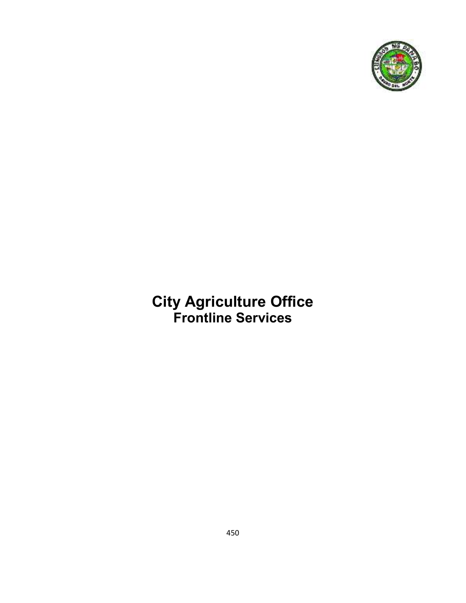

# **City Agriculture Office Frontline Services**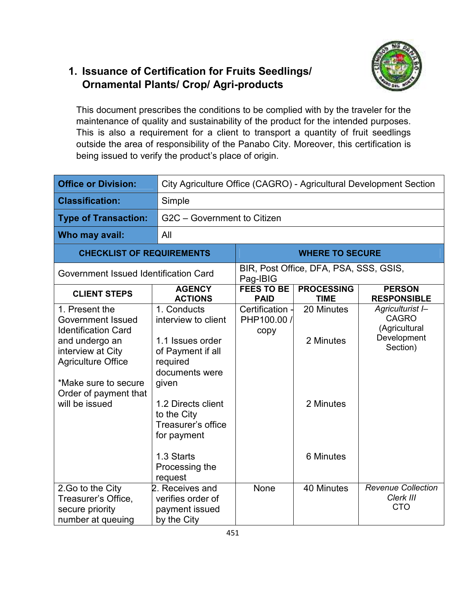### **1. Issuance of Certification for Fruits Seedlings/ Ornamental Plants/ Crop/ Agri-products**



This document prescribes the conditions to be complied with by the traveler for the maintenance of quality and sustainability of the product for the intended purposes. This is also a requirement for a client to transport a quantity of fruit seedlings outside the area of responsibility of the Panabo City. Moreover, this certification is being issued to verify the product's place of origin.

| <b>Office or Division:</b>                                                                                                                                                                                      |                                                                                                                                                                                              | City Agriculture Office (CAGRO) - Agricultural Development Section |                                        |                                                                              |  |
|-----------------------------------------------------------------------------------------------------------------------------------------------------------------------------------------------------------------|----------------------------------------------------------------------------------------------------------------------------------------------------------------------------------------------|--------------------------------------------------------------------|----------------------------------------|------------------------------------------------------------------------------|--|
| <b>Classification:</b>                                                                                                                                                                                          | Simple                                                                                                                                                                                       |                                                                    |                                        |                                                                              |  |
| <b>Type of Transaction:</b>                                                                                                                                                                                     |                                                                                                                                                                                              | G2C - Government to Citizen                                        |                                        |                                                                              |  |
| Who may avail:                                                                                                                                                                                                  | All                                                                                                                                                                                          |                                                                    |                                        |                                                                              |  |
| <b>CHECKLIST OF REQUIREMENTS</b>                                                                                                                                                                                | <b>WHERE TO SECURE</b>                                                                                                                                                                       |                                                                    |                                        |                                                                              |  |
| Government Issued Identification Card                                                                                                                                                                           |                                                                                                                                                                                              | Pag-IBIG                                                           | BIR, Post Office, DFA, PSA, SSS, GSIS, |                                                                              |  |
| <b>CLIENT STEPS</b>                                                                                                                                                                                             | <b>AGENCY</b><br><b>ACTIONS</b>                                                                                                                                                              | <b>FEES TO BE</b><br><b>PAID</b>                                   | <b>PROCESSING</b><br><b>TIME</b>       | <b>PERSON</b><br><b>RESPONSIBLE</b>                                          |  |
| 1. Present the<br><b>Government Issued</b><br><b>Identification Card</b><br>and undergo an<br>interview at City<br><b>Agriculture Office</b><br>*Make sure to secure<br>Order of payment that<br>will be issued | 1. Conducts<br>interview to client<br>1.1 Issues order<br>of Payment if all<br>required<br>documents were<br>given<br>1.2 Directs client<br>to the City<br>Treasurer's office<br>for payment | Certification -<br>PHP100.00 /<br>copy                             | 20 Minutes<br>2 Minutes<br>2 Minutes   | Agriculturist I-<br><b>CAGRO</b><br>(Agricultural<br>Development<br>Section) |  |
|                                                                                                                                                                                                                 | 1.3 Starts<br>Processing the<br>request                                                                                                                                                      |                                                                    | 6 Minutes                              |                                                                              |  |
| 2.Go to the City<br>Treasurer's Office,<br>secure priority<br>number at queuing                                                                                                                                 | 2. Receives and<br>verifies order of<br>payment issued<br>by the City                                                                                                                        | None                                                               | 40 Minutes                             | <b>Revenue Collection</b><br>Clerk III<br><b>CTO</b>                         |  |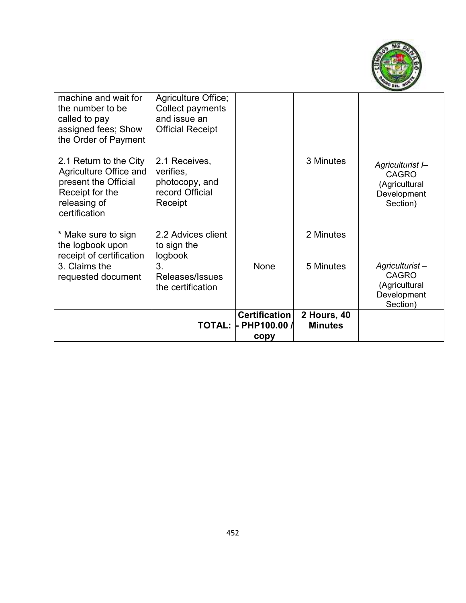

| machine and wait for<br>the number to be<br>called to pay<br>assigned fees; Show<br>the Order of Payment                     | Agriculture Office;<br>Collect payments<br>and issue an<br><b>Official Receipt</b> |                                             |                               |                                                                              |
|------------------------------------------------------------------------------------------------------------------------------|------------------------------------------------------------------------------------|---------------------------------------------|-------------------------------|------------------------------------------------------------------------------|
| 2.1 Return to the City<br>Agriculture Office and<br>present the Official<br>Receipt for the<br>releasing of<br>certification | 2.1 Receives,<br>verifies,<br>photocopy, and<br>record Official<br>Receipt         |                                             | 3 Minutes                     | Agriculturist I-<br><b>CAGRO</b><br>(Agricultural<br>Development<br>Section) |
| * Make sure to sign<br>the logbook upon<br>receipt of certification                                                          | 2.2 Advices client<br>to sign the<br>logbook                                       |                                             | 2 Minutes                     |                                                                              |
| 3. Claims the<br>requested document                                                                                          | 3.<br>Releases/Issues<br>the certification                                         | None                                        | 5 Minutes                     | Agriculturist-<br><b>CAGRO</b><br>(Agricultural<br>Development<br>Section)   |
|                                                                                                                              | <b>TOTAL:</b>                                                                      | <b>Certification</b><br>PHP100.00 /<br>copy | 2 Hours, 40<br><b>Minutes</b> |                                                                              |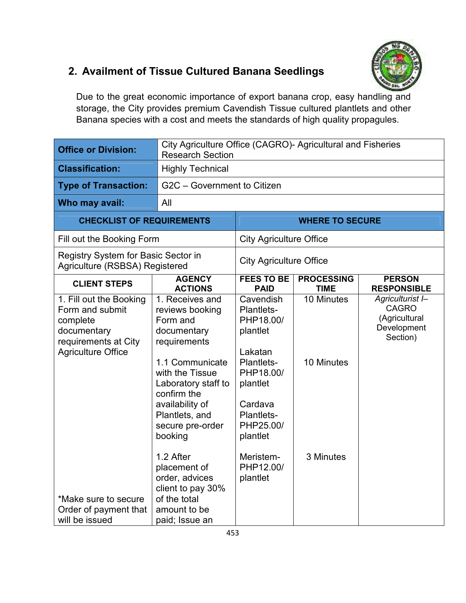#### **2. Availment of Tissue Cultured Banana Seedlings**

Due to the great economic importance of export banana crop, easy handling and storage, the City provides premium Cavendish Tissue cultured plantlets and other Banana species with a cost and meets the standards of high quality propagules.

| <b>Office or Division:</b>                                                                                                                                                                    | City Agriculture Office (CAGRO)- Agricultural and Fisheries<br><b>Research Section</b>                                                                                                                                                                                                                                                              |                                                                                                                                                                                            |                                       |                                                                              |
|-----------------------------------------------------------------------------------------------------------------------------------------------------------------------------------------------|-----------------------------------------------------------------------------------------------------------------------------------------------------------------------------------------------------------------------------------------------------------------------------------------------------------------------------------------------------|--------------------------------------------------------------------------------------------------------------------------------------------------------------------------------------------|---------------------------------------|------------------------------------------------------------------------------|
| <b>Classification:</b>                                                                                                                                                                        | <b>Highly Technical</b>                                                                                                                                                                                                                                                                                                                             |                                                                                                                                                                                            |                                       |                                                                              |
| <b>Type of Transaction:</b>                                                                                                                                                                   | G2C - Government to Citizen                                                                                                                                                                                                                                                                                                                         |                                                                                                                                                                                            |                                       |                                                                              |
| Who may avail:                                                                                                                                                                                | All                                                                                                                                                                                                                                                                                                                                                 |                                                                                                                                                                                            |                                       |                                                                              |
| <b>CHECKLIST OF REQUIREMENTS</b>                                                                                                                                                              |                                                                                                                                                                                                                                                                                                                                                     |                                                                                                                                                                                            | <b>WHERE TO SECURE</b>                |                                                                              |
| Fill out the Booking Form                                                                                                                                                                     |                                                                                                                                                                                                                                                                                                                                                     | <b>City Agriculture Office</b>                                                                                                                                                             |                                       |                                                                              |
| Registry System for Basic Sector in<br>Agriculture (RSBSA) Registered                                                                                                                         |                                                                                                                                                                                                                                                                                                                                                     | <b>City Agriculture Office</b>                                                                                                                                                             |                                       |                                                                              |
| <b>CLIENT STEPS</b>                                                                                                                                                                           | <b>AGENCY</b><br><b>ACTIONS</b>                                                                                                                                                                                                                                                                                                                     | <b>FEES TO BE</b><br><b>PAID</b>                                                                                                                                                           | <b>PROCESSING</b><br><b>TIME</b>      | <b>PERSON</b><br><b>RESPONSIBLE</b>                                          |
| 1. Fill out the Booking<br>Form and submit<br>complete<br>documentary<br>requirements at City<br><b>Agriculture Office</b><br>*Make sure to secure<br>Order of payment that<br>will be issued | 1. Receives and<br>reviews booking<br>Form and<br>documentary<br>requirements<br>1.1 Communicate<br>with the Tissue<br>Laboratory staff to<br>confirm the<br>availability of<br>Plantlets, and<br>secure pre-order<br>booking<br>1.2 After<br>placement of<br>order, advices<br>client to pay 30%<br>of the total<br>amount to be<br>paid; Issue an | Cavendish<br>Plantlets-<br>PHP18.00/<br>plantlet<br>Lakatan<br>Plantlets-<br>PHP18.00/<br>plantlet<br>Cardava<br>Plantlets-<br>PHP25.00/<br>plantlet<br>Meristem-<br>PHP12.00/<br>plantlet | 10 Minutes<br>10 Minutes<br>3 Minutes | Agriculturist I-<br><b>CAGRO</b><br>(Agricultural<br>Development<br>Section) |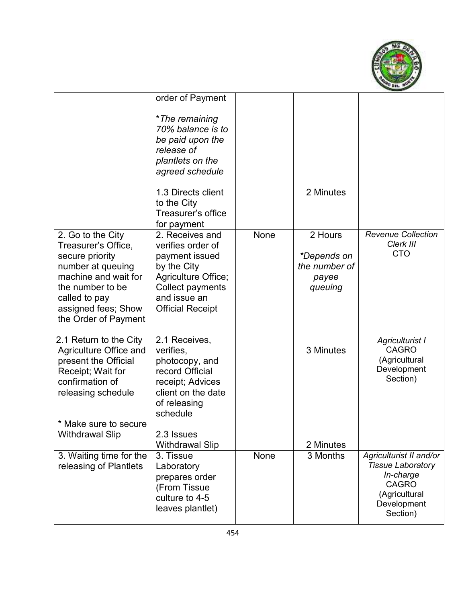

|                                                                                                                                                                                              | order of Payment<br>*The remaining<br>70% balance is to<br>be paid upon the<br>release of<br>plantlets on the<br>agreed schedule<br>1.3 Directs client             |      | 2 Minutes                                                   |                                                                                                                              |
|----------------------------------------------------------------------------------------------------------------------------------------------------------------------------------------------|--------------------------------------------------------------------------------------------------------------------------------------------------------------------|------|-------------------------------------------------------------|------------------------------------------------------------------------------------------------------------------------------|
|                                                                                                                                                                                              | to the City<br>Treasurer's office<br>for payment                                                                                                                   |      |                                                             |                                                                                                                              |
| 2. Go to the City<br>Treasurer's Office,<br>secure priority<br>number at queuing<br>machine and wait for<br>the number to be<br>called to pay<br>assigned fees; Show<br>the Order of Payment | 2. Receives and<br>verifies order of<br>payment issued<br>by the City<br>Agriculture Office;<br><b>Collect payments</b><br>and issue an<br><b>Official Receipt</b> | None | 2 Hours<br>*Depends on<br>the number of<br>payee<br>queuing | <b>Revenue Collection</b><br>Clerk III<br><b>CTO</b>                                                                         |
| 2.1 Return to the City<br>Agriculture Office and<br>present the Official<br>Receipt; Wait for<br>confirmation of<br>releasing schedule<br>* Make sure to secure<br><b>Withdrawal Slip</b>    | 2.1 Receives,<br>verifies,<br>photocopy, and<br>record Official<br>receipt; Advices<br>client on the date<br>of releasing<br>schedule<br>2.3 Issues                |      | 3 Minutes                                                   | Agriculturist I<br><b>CAGRO</b><br>(Agricultural<br>Development<br>Section)                                                  |
| 3. Waiting time for the<br>releasing of Plantlets                                                                                                                                            | <b>Withdrawal Slip</b><br>3. Tissue<br>Laboratory<br>prepares order<br>(From Tissue<br>culture to 4-5<br>leaves plantlet)                                          | None | 2 Minutes<br>3 Months                                       | Agriculturist II and/or<br><b>Tissue Laboratory</b><br>In-charge<br><b>CAGRO</b><br>(Agricultural<br>Development<br>Section) |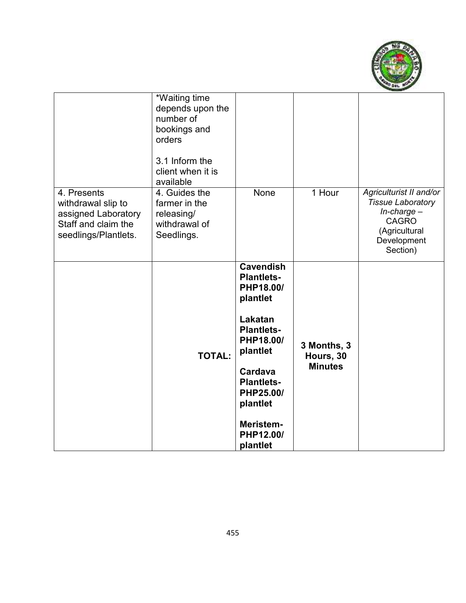

|                                                                                                         | *Waiting time<br>depends upon the<br>number of<br>bookings and<br>orders<br>3.1 Inform the<br>client when it is<br>available |                                                                                                                                                                                                                        |                                            |                                                                                                                                     |
|---------------------------------------------------------------------------------------------------------|------------------------------------------------------------------------------------------------------------------------------|------------------------------------------------------------------------------------------------------------------------------------------------------------------------------------------------------------------------|--------------------------------------------|-------------------------------------------------------------------------------------------------------------------------------------|
| 4. Presents<br>withdrawal slip to<br>assigned Laboratory<br>Staff and claim the<br>seedlings/Plantlets. | 4. Guides the<br>farmer in the<br>releasing/<br>withdrawal of<br>Seedlings.                                                  | None                                                                                                                                                                                                                   | 1 Hour                                     | Agriculturist II and/or<br><b>Tissue Laboratory</b><br>$In$ -charge $-$<br><b>CAGRO</b><br>(Agricultural<br>Development<br>Section) |
|                                                                                                         | <b>TOTAL:</b>                                                                                                                | <b>Cavendish</b><br><b>Plantlets-</b><br>PHP18.00/<br>plantlet<br>Lakatan<br><b>Plantlets-</b><br>PHP18.00/<br>plantlet<br>Cardava<br><b>Plantlets-</b><br>PHP25.00/<br>plantlet<br>Meristem-<br>PHP12.00/<br>plantlet | 3 Months, 3<br>Hours, 30<br><b>Minutes</b> |                                                                                                                                     |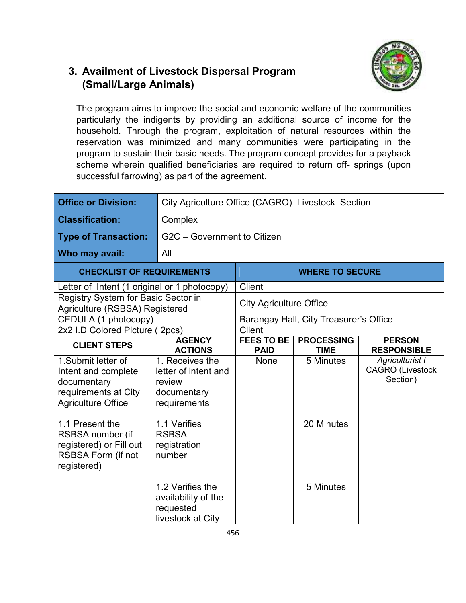### **3. Availment of Livestock Dispersal Program (Small/Large Animals)**



The program aims to improve the social and economic welfare of the communities particularly the indigents by providing an additional source of income for the household. Through the program, exploitation of natural resources within the reservation was minimized and many communities were participating in the program to sustain their basic needs. The program concept provides for a payback scheme wherein qualified beneficiaries are required to return off- springs (upon successful farrowing) as part of the agreement.

| <b>Office or Division:</b>                                                                                                       | City Agriculture Office (CAGRO)-Livestock Section                                                |                                  |                                  |                                                        |
|----------------------------------------------------------------------------------------------------------------------------------|--------------------------------------------------------------------------------------------------|----------------------------------|----------------------------------|--------------------------------------------------------|
| <b>Classification:</b>                                                                                                           | Complex                                                                                          |                                  |                                  |                                                        |
| <b>Type of Transaction:</b>                                                                                                      | G2C - Government to Citizen                                                                      |                                  |                                  |                                                        |
| Who may avail:                                                                                                                   | All                                                                                              |                                  |                                  |                                                        |
| <b>CHECKLIST OF REQUIREMENTS</b>                                                                                                 |                                                                                                  |                                  | <b>WHERE TO SECURE</b>           |                                                        |
| Letter of Intent (1 original or 1 photocopy)                                                                                     |                                                                                                  | Client                           |                                  |                                                        |
| Registry System for Basic Sector in<br>Agriculture (RSBSA) Registered                                                            |                                                                                                  | <b>City Agriculture Office</b>   |                                  |                                                        |
| CEDULA (1 photocopy)                                                                                                             | Barangay Hall, City Treasurer's Office                                                           |                                  |                                  |                                                        |
| 2x2 I.D Colored Picture (2pcs)                                                                                                   |                                                                                                  | Client                           |                                  |                                                        |
| <b>CLIENT STEPS</b>                                                                                                              | <b>AGENCY</b><br><b>ACTIONS</b>                                                                  | <b>FEES TO BE</b><br><b>PAID</b> | <b>PROCESSING</b><br><b>TIME</b> | <b>PERSON</b><br><b>RESPONSIBLE</b>                    |
| 1.Submit letter of<br>Intent and complete<br>documentary<br>requirements at City<br><b>Agriculture Office</b><br>1.1 Present the | 1. Receives the<br>letter of intent and<br>review<br>documentary<br>requirements<br>1.1 Verifies | None                             | 5 Minutes<br>20 Minutes          | Agriculturist I<br><b>CAGRO</b> (Livestock<br>Section) |
| RSBSA number (if<br>registered) or Fill out<br>RSBSA Form (if not<br>registered)                                                 | <b>RSBSA</b><br>registration<br>number<br>1.2 Verifies the<br>availability of the                |                                  | 5 Minutes                        |                                                        |
|                                                                                                                                  | requested<br>livestock at City                                                                   |                                  |                                  |                                                        |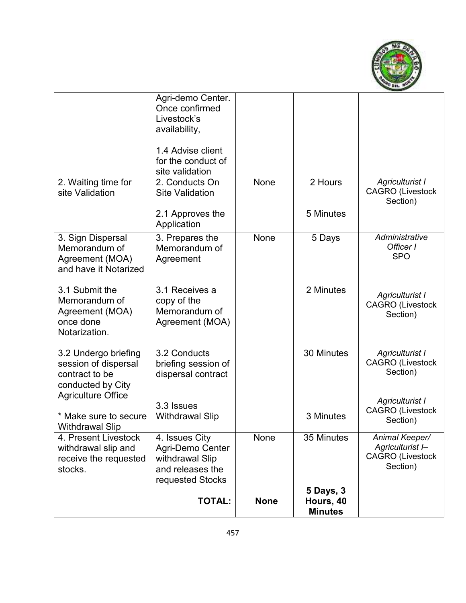

|                                                                                     | <b>TOTAL:</b>                                                                                                                                       | <b>None</b> | <b>5 Days, 3</b><br>Hours, 40<br><b>Minutes</b> |                                                        |
|-------------------------------------------------------------------------------------|-----------------------------------------------------------------------------------------------------------------------------------------------------|-------------|-------------------------------------------------|--------------------------------------------------------|
| receive the requested<br>stocks.                                                    | withdrawal Slip<br>and releases the<br>requested Stocks                                                                                             |             |                                                 | <b>CAGRO</b> (Livestock<br>Section)                    |
| 4. Present Livestock<br>withdrawal slip and                                         | $\overline{4}$ . Issues City<br>Agri-Demo Center                                                                                                    | None        | 35 Minutes                                      | Animal Keeper/<br>Agriculturist I-                     |
| <b>Agriculture Office</b><br>* Make sure to secure<br><b>Withdrawal Slip</b>        | 3.3 Issues<br><b>Withdrawal Slip</b>                                                                                                                |             | 3 Minutes                                       | Agriculturist I<br><b>CAGRO</b> (Livestock<br>Section) |
| 3.2 Undergo briefing<br>session of dispersal<br>contract to be<br>conducted by City | 3.2 Conducts<br>briefing session of<br>dispersal contract                                                                                           |             | 30 Minutes                                      | Agriculturist I<br><b>CAGRO (Livestock</b><br>Section) |
| 3.1 Submit the<br>Memorandum of<br>Agreement (MOA)<br>once done<br>Notarization.    | 3.1 Receives a<br>copy of the<br>Memorandum of<br>Agreement (MOA)                                                                                   |             | 2 Minutes                                       | Agriculturist I<br><b>CAGRO</b> (Livestock<br>Section) |
| 3. Sign Dispersal<br>Memorandum of<br>Agreement (MOA)<br>and have it Notarized      | 3. Prepares the<br>Memorandum of<br>Agreement                                                                                                       | None        | 5 Days                                          | Administrative<br>Officer I<br><b>SPO</b>              |
| site Validation                                                                     | <b>Site Validation</b><br>2.1 Approves the<br>Application                                                                                           |             | 5 Minutes                                       | <b>CAGRO</b> (Livestock<br>Section)                    |
| 2. Waiting time for                                                                 | Agri-demo Center.<br>Once confirmed<br>Livestock's<br>availability,<br>1.4 Advise client<br>for the conduct of<br>site validation<br>2. Conducts On | None        | 2 Hours                                         | Agriculturist I                                        |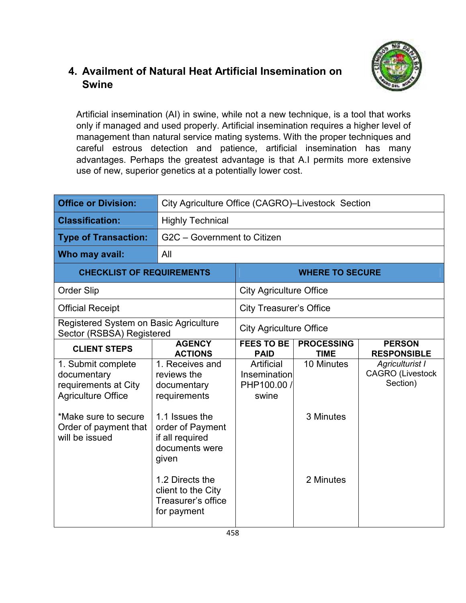#### **4. Availment of Natural Heat Artificial Insemination on Swine**



Artificial insemination (AI) in swine, while not a new technique, is a tool that works only if managed and used properly. Artificial insemination requires a higher level of management than natural service mating systems. With the proper techniques and careful estrous detection and patience, artificial insemination has many advantages. Perhaps the greatest advantage is that A.I permits more extensive use of new, superior genetics at a potentially lower cost.

| <b>Office or Division:</b>                                                                                                                                | City Agriculture Office (CAGRO)-Livestock Section                                                                                                 |                                                    |                                  |                                                        |
|-----------------------------------------------------------------------------------------------------------------------------------------------------------|---------------------------------------------------------------------------------------------------------------------------------------------------|----------------------------------------------------|----------------------------------|--------------------------------------------------------|
| <b>Classification:</b>                                                                                                                                    | <b>Highly Technical</b>                                                                                                                           |                                                    |                                  |                                                        |
| <b>Type of Transaction:</b>                                                                                                                               | G2C - Government to Citizen                                                                                                                       |                                                    |                                  |                                                        |
| Who may avail:                                                                                                                                            | All                                                                                                                                               |                                                    |                                  |                                                        |
| <b>CHECKLIST OF REQUIREMENTS</b>                                                                                                                          |                                                                                                                                                   |                                                    | <b>WHERE TO SECURE</b>           |                                                        |
| <b>Order Slip</b>                                                                                                                                         |                                                                                                                                                   | <b>City Agriculture Office</b>                     |                                  |                                                        |
| <b>Official Receipt</b>                                                                                                                                   |                                                                                                                                                   | <b>City Treasurer's Office</b>                     |                                  |                                                        |
| Registered System on Basic Agriculture<br>Sector (RSBSA) Registered                                                                                       |                                                                                                                                                   | <b>City Agriculture Office</b>                     |                                  |                                                        |
| <b>CLIENT STEPS</b>                                                                                                                                       | <b>AGENCY</b><br><b>ACTIONS</b>                                                                                                                   | <b>FEES TO BE</b><br><b>PAID</b>                   | <b>PROCESSING</b><br><b>TIME</b> | <b>PERSON</b><br><b>RESPONSIBLE</b>                    |
| 1. Submit complete<br>documentary<br>requirements at City<br><b>Agriculture Office</b><br>*Make sure to secure<br>Order of payment that<br>will be issued | 1. Receives and<br>reviews the<br>documentary<br>requirements<br>1.1 Issues the<br>order of Payment<br>if all required<br>documents were<br>given | Artificial<br>Insemination<br>PHP100.00 /<br>swine | 10 Minutes<br>3 Minutes          | Agriculturist I<br><b>CAGRO</b> (Livestock<br>Section) |
|                                                                                                                                                           | 1.2 Directs the<br>client to the City<br>Treasurer's office<br>for payment                                                                        |                                                    | 2 Minutes                        |                                                        |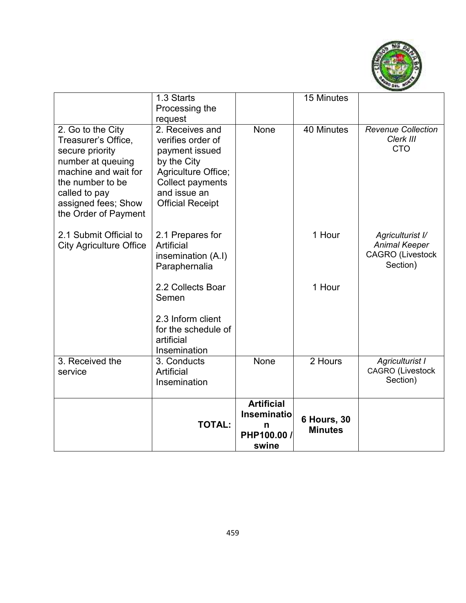

|                                                                                                                                                                                              | 1.3 Starts                                                                                                                                                             |                                                                      | 15 Minutes                           |                                                                                 |
|----------------------------------------------------------------------------------------------------------------------------------------------------------------------------------------------|------------------------------------------------------------------------------------------------------------------------------------------------------------------------|----------------------------------------------------------------------|--------------------------------------|---------------------------------------------------------------------------------|
|                                                                                                                                                                                              | Processing the                                                                                                                                                         |                                                                      |                                      |                                                                                 |
| 2. Go to the City<br>Treasurer's Office,<br>secure priority<br>number at queuing<br>machine and wait for<br>the number to be<br>called to pay<br>assigned fees; Show<br>the Order of Payment | request<br>2. Receives and<br>verifies order of<br>payment issued<br>by the City<br>Agriculture Office;<br>Collect payments<br>and issue an<br><b>Official Receipt</b> | None                                                                 | 40 Minutes                           | <b>Revenue Collection</b><br>Clerk III<br><b>CTO</b>                            |
| 2.1 Submit Official to<br><b>City Agriculture Office</b>                                                                                                                                     | 2.1 Prepares for<br>Artificial<br>insemination (A.I)<br>Paraphernalia                                                                                                  |                                                                      | 1 Hour                               | Agriculturist I/<br><b>Animal Keeper</b><br><b>CAGRO (Livestock</b><br>Section) |
|                                                                                                                                                                                              | 2.2 Collects Boar<br>Semen                                                                                                                                             |                                                                      | 1 Hour                               |                                                                                 |
|                                                                                                                                                                                              | 2.3 Inform client<br>for the schedule of<br>artificial<br>Insemination                                                                                                 |                                                                      |                                      |                                                                                 |
| 3. Received the<br>service                                                                                                                                                                   | 3. Conducts<br>Artificial<br>Insemination                                                                                                                              | None                                                                 | $2$ Hours                            | Agriculturist I<br><b>CAGRO (Livestock</b><br>Section)                          |
|                                                                                                                                                                                              | <b>TOTAL:</b>                                                                                                                                                          | <b>Artificial</b><br><b>Inseminatio</b><br>n<br>PHP100.00 /<br>swine | <b>6 Hours, 30</b><br><b>Minutes</b> |                                                                                 |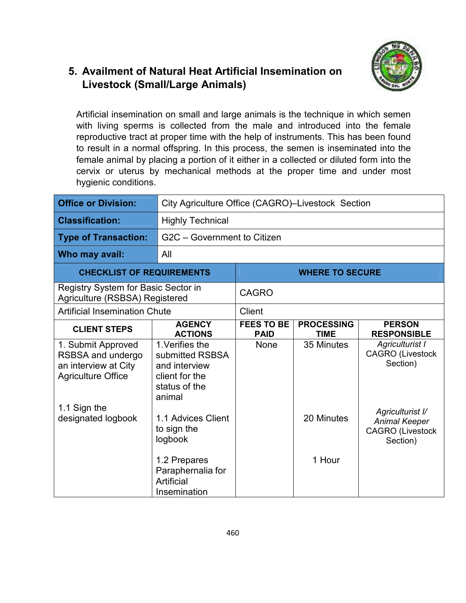# **5. Availment of Natural Heat Artificial Insemination on Livestock (Small/Large Animals)**



Artificial insemination on small and large animals is the technique in which semen with living sperms is collected from the male and introduced into the female reproductive tract at proper time with the help of instruments. This has been found to result in a normal offspring. In this process, the semen is inseminated into the female animal by placing a portion of it either in a collected or diluted form into the cervix or uterus by mechanical methods at the proper time and under most hygienic conditions.

| <b>Office or Division:</b>                                                                   | City Agriculture Office (CAGRO)-Livestock Section                                                |                                  |                                  |                                                                                 |
|----------------------------------------------------------------------------------------------|--------------------------------------------------------------------------------------------------|----------------------------------|----------------------------------|---------------------------------------------------------------------------------|
| <b>Classification:</b>                                                                       | <b>Highly Technical</b>                                                                          |                                  |                                  |                                                                                 |
| <b>Type of Transaction:</b>                                                                  |                                                                                                  | G2C - Government to Citizen      |                                  |                                                                                 |
| Who may avail:                                                                               | All                                                                                              |                                  |                                  |                                                                                 |
| <b>CHECKLIST OF REQUIREMENTS</b>                                                             |                                                                                                  |                                  | <b>WHERE TO SECURE</b>           |                                                                                 |
| Registry System for Basic Sector in<br>Agriculture (RSBSA) Registered                        |                                                                                                  | <b>CAGRO</b>                     |                                  |                                                                                 |
| <b>Artificial Insemination Chute</b>                                                         |                                                                                                  | Client                           |                                  |                                                                                 |
| <b>CLIENT STEPS</b>                                                                          | <b>AGENCY</b><br><b>ACTIONS</b>                                                                  | <b>FEES TO BE</b><br><b>PAID</b> | <b>PROCESSING</b><br><b>TIME</b> | <b>PERSON</b><br><b>RESPONSIBLE</b>                                             |
| 1. Submit Approved<br>RSBSA and undergo<br>an interview at City<br><b>Agriculture Office</b> | 1. Verifies the<br>submitted RSBSA<br>and interview<br>client for the<br>status of the<br>animal | <b>None</b>                      | 35 Minutes                       | Agriculturist I<br><b>CAGRO</b> (Livestock<br>Section)                          |
| 1.1 Sign the<br>designated logbook                                                           | 1.1 Advices Client<br>to sign the<br>logbook                                                     |                                  | 20 Minutes                       | Agriculturist I/<br><b>Animal Keeper</b><br><b>CAGRO</b> (Livestock<br>Section) |
|                                                                                              | 1.2 Prepares<br>Paraphernalia for<br>Artificial<br>Insemination                                  |                                  | 1 Hour                           |                                                                                 |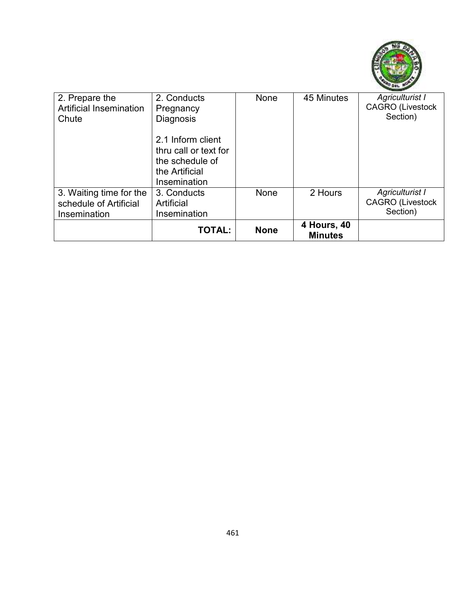

| 2. Prepare the<br><b>Artificial Insemination</b><br>Chute         | 2. Conducts<br>Pregnancy<br><b>Diagnosis</b>                                                    | None        | 45 Minutes                           | <b>Agriculturist I</b><br><b>CAGRO</b> (Livestock<br>Section) |
|-------------------------------------------------------------------|-------------------------------------------------------------------------------------------------|-------------|--------------------------------------|---------------------------------------------------------------|
|                                                                   | 2.1 Inform client<br>thru call or text for<br>the schedule of<br>the Artificial<br>Insemination |             |                                      |                                                               |
| 3. Waiting time for the<br>schedule of Artificial<br>Insemination | 3. Conducts<br>Artificial<br>Insemination                                                       | None        | 2 Hours                              | Agriculturist I<br><b>CAGRO</b> (Livestock<br>Section)        |
|                                                                   | <b>TOTAL:</b>                                                                                   | <b>None</b> | <b>4 Hours, 40</b><br><b>Minutes</b> |                                                               |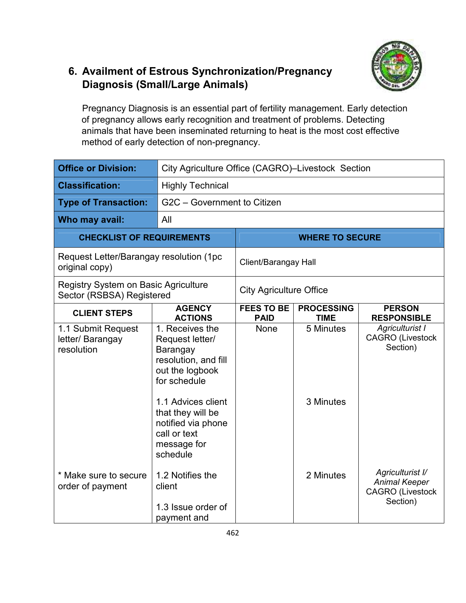# **6. Availment of Estrous Synchronization/Pregnancy Diagnosis (Small/Large Animals)**

Pregnancy Diagnosis is an essential part of fertility management. Early detection of pregnancy allows early recognition and treatment of problems. Detecting animals that have been inseminated returning to heat is the most cost effective method of early detection of non-pregnancy.

| <b>Office or Division:</b>                                               | City Agriculture Office (CAGRO)-Livestock Section                                                                                                    |                                  |                                  |                                                                                 |
|--------------------------------------------------------------------------|------------------------------------------------------------------------------------------------------------------------------------------------------|----------------------------------|----------------------------------|---------------------------------------------------------------------------------|
| <b>Classification:</b>                                                   | <b>Highly Technical</b>                                                                                                                              |                                  |                                  |                                                                                 |
| <b>Type of Transaction:</b>                                              | G2C - Government to Citizen                                                                                                                          |                                  |                                  |                                                                                 |
| Who may avail:                                                           | All                                                                                                                                                  |                                  |                                  |                                                                                 |
| <b>CHECKLIST OF REQUIREMENTS</b>                                         |                                                                                                                                                      |                                  | <b>WHERE TO SECURE</b>           |                                                                                 |
| Request Letter/Barangay resolution (1pc<br>original copy)                |                                                                                                                                                      | Client/Barangay Hall             |                                  |                                                                                 |
| <b>Registry System on Basic Agriculture</b><br>Sector (RSBSA) Registered |                                                                                                                                                      | <b>City Agriculture Office</b>   |                                  |                                                                                 |
| <b>CLIENT STEPS</b>                                                      | <b>AGENCY</b><br><b>ACTIONS</b>                                                                                                                      | <b>FEES TO BE</b><br><b>PAID</b> | <b>PROCESSING</b><br><b>TIME</b> | <b>PERSON</b><br><b>RESPONSIBLE</b>                                             |
| 1.1 Submit Request<br>letter/ Barangay<br>resolution                     | 1. Receives the<br>Request letter/<br>Barangay<br>resolution, and fill<br>out the logbook<br>for schedule<br>1.1 Advices client<br>that they will be | <b>None</b>                      | 5 Minutes<br>3 Minutes           | Agriculturist I<br><b>CAGRO</b> (Livestock<br>Section)                          |
|                                                                          | notified via phone<br>call or text<br>message for<br>schedule                                                                                        |                                  |                                  |                                                                                 |
| * Make sure to secure<br>order of payment                                | 1.2 Notifies the<br>client<br>1.3 Issue order of<br>payment and                                                                                      |                                  | 2 Minutes                        | Agriculturist I/<br><b>Animal Keeper</b><br><b>CAGRO</b> (Livestock<br>Section) |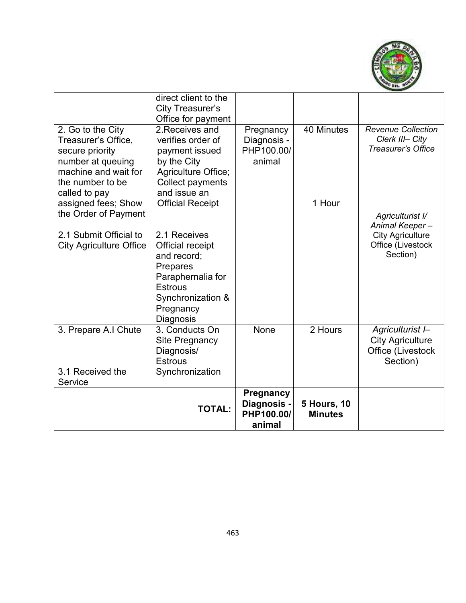

|                                                                                                                                                                                              | direct client to the<br><b>City Treasurer's</b>                                                                                                                    |                                                         |                                      |                                                                                                |
|----------------------------------------------------------------------------------------------------------------------------------------------------------------------------------------------|--------------------------------------------------------------------------------------------------------------------------------------------------------------------|---------------------------------------------------------|--------------------------------------|------------------------------------------------------------------------------------------------|
|                                                                                                                                                                                              | Office for payment                                                                                                                                                 |                                                         |                                      |                                                                                                |
| 2. Go to the City<br>Treasurer's Office,<br>secure priority<br>number at queuing<br>machine and wait for<br>the number to be<br>called to pay<br>assigned fees; Show<br>the Order of Payment | 2. Receives and<br>verifies order of<br>payment issued<br>by the City<br>Agriculture Office;<br><b>Collect payments</b><br>and issue an<br><b>Official Receipt</b> | Pregnancy<br>Diagnosis -<br>PHP100.00/<br>animal        | 40 Minutes<br>1 Hour                 | <b>Revenue Collection</b><br>Clerk III- City<br><b>Treasurer's Office</b>                      |
| 2.1 Submit Official to<br><b>City Agriculture Office</b>                                                                                                                                     | 2.1 Receives<br><b>Official receipt</b><br>and record;<br>Prepares<br>Paraphernalia for<br><b>Estrous</b><br>Synchronization &<br>Pregnancy<br>Diagnosis           |                                                         |                                      | Agriculturist I/<br>Animal Keeper-<br><b>City Agriculture</b><br>Office (Livestock<br>Section) |
| 3. Prepare A.I Chute                                                                                                                                                                         | 3. Conducts On<br>Site Pregnancy<br>Diagnosis/<br><b>Estrous</b>                                                                                                   | None                                                    | 2 Hours                              | Agriculturist I-<br><b>City Agriculture</b><br>Office (Livestock<br>Section)                   |
| 3.1 Received the<br>Service                                                                                                                                                                  | Synchronization                                                                                                                                                    |                                                         |                                      |                                                                                                |
|                                                                                                                                                                                              | <b>TOTAL:</b>                                                                                                                                                      | <b>Pregnancy</b><br>Diagnosis -<br>PHP100.00/<br>animal | <b>5 Hours, 10</b><br><b>Minutes</b> |                                                                                                |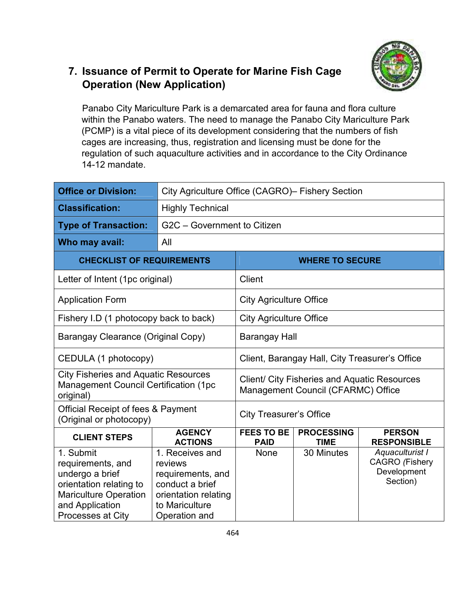

# **7. Issuance of Permit to Operate for Marine Fish Cage Operation (New Application)**

Panabo City Mariculture Park is a demarcated area for fauna and flora culture within the Panabo waters. The need to manage the Panabo City Mariculture Park (PCMP) is a vital piece of its development considering that the numbers of fish cages are increasing, thus, registration and licensing must be done for the regulation of such aquaculture activities and in accordance to the City Ordinance 14-12 mandate.

| <b>Office or Division:</b>                                                                                                                                  | City Agriculture Office (CAGRO)- Fishery Section                                                                              |                                                                                           |                                  |                                                                     |
|-------------------------------------------------------------------------------------------------------------------------------------------------------------|-------------------------------------------------------------------------------------------------------------------------------|-------------------------------------------------------------------------------------------|----------------------------------|---------------------------------------------------------------------|
| <b>Classification:</b>                                                                                                                                      | <b>Highly Technical</b>                                                                                                       |                                                                                           |                                  |                                                                     |
| <b>Type of Transaction:</b>                                                                                                                                 | G2C - Government to Citizen                                                                                                   |                                                                                           |                                  |                                                                     |
| Who may avail:                                                                                                                                              | All                                                                                                                           |                                                                                           |                                  |                                                                     |
| <b>CHECKLIST OF REQUIREMENTS</b>                                                                                                                            |                                                                                                                               |                                                                                           | <b>WHERE TO SECURE</b>           |                                                                     |
| Letter of Intent (1pc original)                                                                                                                             |                                                                                                                               | Client                                                                                    |                                  |                                                                     |
| <b>Application Form</b>                                                                                                                                     |                                                                                                                               | <b>City Agriculture Office</b>                                                            |                                  |                                                                     |
| Fishery I.D (1 photocopy back to back)                                                                                                                      |                                                                                                                               | <b>City Agriculture Office</b>                                                            |                                  |                                                                     |
| Barangay Clearance (Original Copy)                                                                                                                          |                                                                                                                               | <b>Barangay Hall</b>                                                                      |                                  |                                                                     |
| CEDULA (1 photocopy)                                                                                                                                        |                                                                                                                               | Client, Barangay Hall, City Treasurer's Office                                            |                                  |                                                                     |
| <b>City Fisheries and Aquatic Resources</b><br><b>Management Council Certification (1pc</b><br>original)                                                    |                                                                                                                               | <b>Client/ City Fisheries and Aquatic Resources</b><br>Management Council (CFARMC) Office |                                  |                                                                     |
| <b>Official Receipt of fees &amp; Payment</b><br>(Original or photocopy)                                                                                    |                                                                                                                               | <b>City Treasurer's Office</b>                                                            |                                  |                                                                     |
| <b>CLIENT STEPS</b>                                                                                                                                         | <b>AGENCY</b><br><b>ACTIONS</b>                                                                                               | <b>FEES TO BE</b><br><b>PAID</b>                                                          | <b>PROCESSING</b><br><b>TIME</b> | <b>PERSON</b><br><b>RESPONSIBLE</b>                                 |
| 1. Submit<br>requirements, and<br>undergo a brief<br>orientation relating to<br><b>Mariculture Operation</b><br>and Application<br><b>Processes at City</b> | 1. Receives and<br>reviews<br>requirements, and<br>conduct a brief<br>orientation relating<br>to Mariculture<br>Operation and | <b>None</b>                                                                               | 30 Minutes                       | Aquaculturist I<br><b>CAGRO</b> (Fishery<br>Development<br>Section) |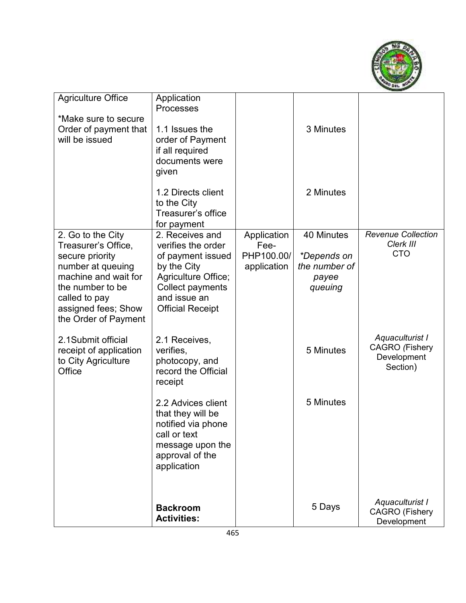

| <b>Agriculture Office</b>                     | Application<br>Processes                |                    |                  |                                          |
|-----------------------------------------------|-----------------------------------------|--------------------|------------------|------------------------------------------|
| *Make sure to secure                          |                                         |                    |                  |                                          |
| Order of payment that                         | 1.1 Issues the                          |                    | 3 Minutes        |                                          |
| will be issued                                | order of Payment<br>if all required     |                    |                  |                                          |
|                                               | documents were                          |                    |                  |                                          |
|                                               | given                                   |                    |                  |                                          |
|                                               | 1.2 Directs client                      |                    | 2 Minutes        |                                          |
|                                               | to the City                             |                    |                  |                                          |
|                                               | Treasurer's office<br>for payment       |                    |                  |                                          |
| 2. Go to the City                             | 2. Receives and                         | Application        | 40 Minutes       | Revenue Collection                       |
| Treasurer's Office,<br>secure priority        | verifies the order<br>of payment issued | Fee-<br>PHP100.00/ | *Depends on      | Clerk III<br><b>CTO</b>                  |
| number at queuing                             | by the City                             | application        | the number of    |                                          |
| machine and wait for<br>the number to be      | Agriculture Office;                     |                    | payee<br>queuing |                                          |
| called to pay                                 | Collect payments<br>and issue an        |                    |                  |                                          |
| assigned fees; Show                           | <b>Official Receipt</b>                 |                    |                  |                                          |
| the Order of Payment                          |                                         |                    |                  |                                          |
| 2.1Submit official                            | 2.1 Receives,                           |                    |                  | Aquaculturist I<br><b>CAGRO</b> (Fishery |
| receipt of application<br>to City Agriculture | verifies,<br>photocopy, and             |                    | 5 Minutes        | Development                              |
| Office                                        | record the Official                     |                    |                  | Section)                                 |
|                                               | receipt                                 |                    |                  |                                          |
|                                               | 2.2 Advices client                      |                    | 5 Minutes        |                                          |
|                                               | that they will be                       |                    |                  |                                          |
|                                               | notified via phone<br>call or text      |                    |                  |                                          |
|                                               | message upon the                        |                    |                  |                                          |
|                                               | approval of the<br>application          |                    |                  |                                          |
|                                               |                                         |                    |                  |                                          |
|                                               |                                         |                    |                  |                                          |
|                                               | <b>Backroom</b>                         |                    | 5 Days           | Aquaculturist I<br><b>CAGRO</b> (Fishery |
|                                               | <b>Activities:</b>                      |                    |                  | Development                              |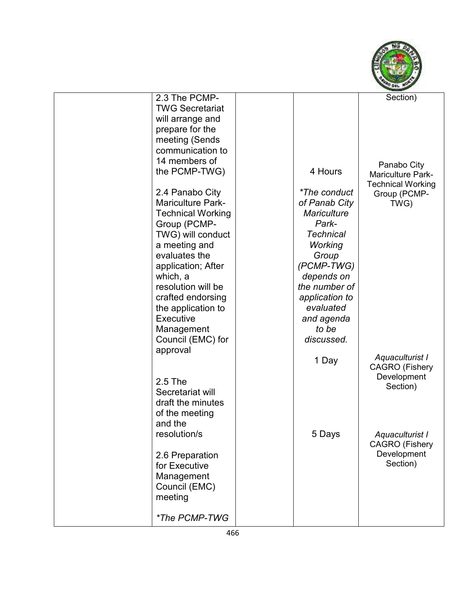

| 2.3 The PCMP-            |                    | Section)                 |
|--------------------------|--------------------|--------------------------|
| <b>TWG Secretariat</b>   |                    |                          |
| will arrange and         |                    |                          |
| prepare for the          |                    |                          |
| meeting (Sends           |                    |                          |
| communication to         |                    |                          |
| 14 members of            |                    |                          |
| the PCMP-TWG)            | 4 Hours            | Panabo City              |
|                          |                    | <b>Mariculture Park-</b> |
| 2.4 Panabo City          | *The conduct       | <b>Technical Working</b> |
| <b>Mariculture Park-</b> | of Panab City      | Group (PCMP-             |
| <b>Technical Working</b> | <b>Mariculture</b> | TWG)                     |
|                          | Park-              |                          |
| Group (PCMP-             | <b>Technical</b>   |                          |
| TWG) will conduct        |                    |                          |
| a meeting and            | Working            |                          |
| evaluates the            | Group              |                          |
| application; After       | (PCMP-TWG)         |                          |
| which, a                 | depends on         |                          |
| resolution will be       | the number of      |                          |
| crafted endorsing        | application to     |                          |
| the application to       | evaluated          |                          |
| <b>Executive</b>         | and agenda         |                          |
| Management               | to be              |                          |
| Council (EMC) for        | discussed.         |                          |
| approval                 |                    |                          |
|                          | 1 Day              | Aquaculturist I          |
|                          |                    | <b>CAGRO</b> (Fishery    |
| 2.5 The                  |                    | Development              |
| Secretariat will         |                    | Section)                 |
| draft the minutes        |                    |                          |
| of the meeting           |                    |                          |
| and the                  |                    |                          |
| resolution/s             | 5 Days             | Aquaculturist I          |
|                          |                    | <b>CAGRO</b> (Fishery    |
| 2.6 Preparation          |                    | Development              |
| for Executive            |                    | Section)                 |
| Management               |                    |                          |
| Council (EMC)            |                    |                          |
| meeting                  |                    |                          |
|                          |                    |                          |
| *The PCMP-TWG            |                    |                          |
|                          |                    |                          |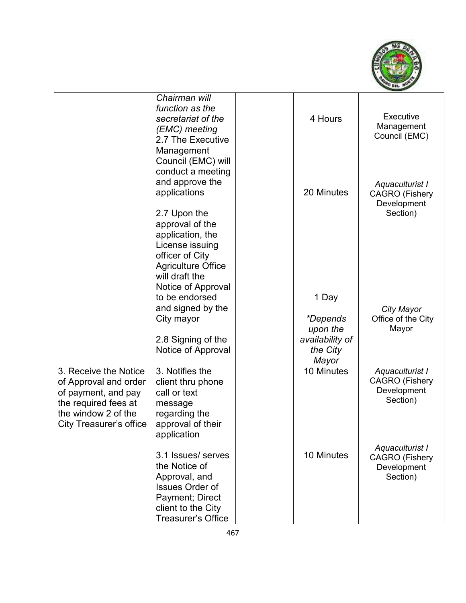

|                                                                                                                                                        | Chairman will<br>function as the<br>secretariat of the<br>(EMC) meeting<br>2.7 The Executive<br>Management<br>Council (EMC) will<br>conduct a meeting          | 4 Hours                              | Executive<br>Management<br>Council (EMC)                            |
|--------------------------------------------------------------------------------------------------------------------------------------------------------|----------------------------------------------------------------------------------------------------------------------------------------------------------------|--------------------------------------|---------------------------------------------------------------------|
|                                                                                                                                                        | and approve the<br>applications                                                                                                                                | 20 Minutes                           | Aquaculturist I<br><b>CAGRO</b> (Fishery<br>Development             |
|                                                                                                                                                        | 2.7 Upon the<br>approval of the<br>application, the<br>License issuing<br>officer of City<br><b>Agriculture Office</b><br>will draft the<br>Notice of Approval |                                      | Section)                                                            |
|                                                                                                                                                        | to be endorsed                                                                                                                                                 | 1 Day                                |                                                                     |
|                                                                                                                                                        | and signed by the<br>City mayor                                                                                                                                | <i>*Depends</i><br>upon the          | City Mayor<br>Office of the City<br>Mayor                           |
|                                                                                                                                                        | 2.8 Signing of the<br>Notice of Approval                                                                                                                       | availability of<br>the City<br>Mayor |                                                                     |
| 3. Receive the Notice<br>of Approval and order<br>of payment, and pay<br>the required fees at<br>the window 2 of the<br><b>City Treasurer's office</b> | 3. Notifies the<br>client thru phone<br>call or text<br>message<br>regarding the<br>approval of their<br>application                                           | 10 Minutes                           | Aquaculturist I<br><b>CAGRO</b> (Fishery<br>Development<br>Section) |
|                                                                                                                                                        | 3.1 Issues/ serves<br>the Notice of<br>Approval, and<br><b>Issues Order of</b><br>Payment; Direct<br>client to the City<br>Treasurer's Office                  | 10 Minutes                           | Aquaculturist I<br><b>CAGRO</b> (Fishery<br>Development<br>Section) |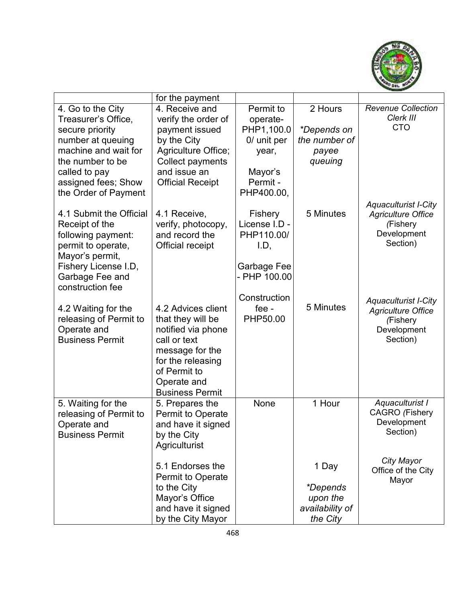

|                         | for the payment            |               |                 |                             |
|-------------------------|----------------------------|---------------|-----------------|-----------------------------|
| 4. Go to the City       | 4. Receive and             | Permit to     | 2 Hours         | <b>Revenue Collection</b>   |
| Treasurer's Office,     | verify the order of        | operate-      |                 | Clerk III                   |
| secure priority         | payment issued             | PHP1,100.0    | *Depends on     | <b>CTO</b>                  |
| number at queuing       | by the City                | 0/ unit per   | the number of   |                             |
| machine and wait for    | <b>Agriculture Office;</b> | year,         | payee           |                             |
| the number to be        | Collect payments           |               | queuing         |                             |
| called to pay           | and issue an               | Mayor's       |                 |                             |
| assigned fees; Show     | <b>Official Receipt</b>    | Permit -      |                 |                             |
| the Order of Payment    |                            | PHP400.00,    |                 |                             |
|                         |                            |               |                 | <b>Aquaculturist I-City</b> |
| 4.1 Submit the Official | 4.1 Receive,               | Fishery       | 5 Minutes       | <b>Agriculture Office</b>   |
| Receipt of the          | verify, photocopy,         | License I.D - |                 | (Fishery                    |
| following payment:      | and record the             | PHP110.00/    |                 | Development                 |
| permit to operate,      | <b>Official receipt</b>    | I.D,          |                 | Section)                    |
| Mayor's permit,         |                            |               |                 |                             |
| Fishery License I.D,    |                            | Garbage Fee   |                 |                             |
| Garbage Fee and         |                            | - PHP 100.00  |                 |                             |
| construction fee        |                            |               |                 |                             |
|                         |                            | Construction  |                 | <b>Aquaculturist I-City</b> |
| 4.2 Waiting for the     | 4.2 Advices client         | fee -         | 5 Minutes       | <b>Agriculture Office</b>   |
| releasing of Permit to  | that they will be          | PHP50.00      |                 | (Fishery                    |
| Operate and             | notified via phone         |               |                 | Development                 |
| <b>Business Permit</b>  | call or text               |               |                 | Section)                    |
|                         | message for the            |               |                 |                             |
|                         | for the releasing          |               |                 |                             |
|                         | of Permit to               |               |                 |                             |
|                         | Operate and                |               |                 |                             |
|                         | <b>Business Permit</b>     |               |                 |                             |
| 5. Waiting for the      | 5. Prepares the            | None          | 1 Hour          | Aquaculturist I             |
| releasing of Permit to  | Permit to Operate          |               |                 | <b>CAGRO</b> (Fishery       |
| Operate and             | and have it signed         |               |                 | Development                 |
| <b>Business Permit</b>  | by the City                |               |                 | Section)                    |
|                         | Agriculturist              |               |                 |                             |
|                         |                            |               |                 | City Mayor                  |
|                         | 5.1 Endorses the           |               | 1 Day           | Office of the City          |
|                         | Permit to Operate          |               |                 | Mayor                       |
|                         | to the City                |               | <i>*Depends</i> |                             |
|                         | Mayor's Office             |               | upon the        |                             |
|                         | and have it signed         |               | availability of |                             |
|                         | by the City Mayor          |               | the City        |                             |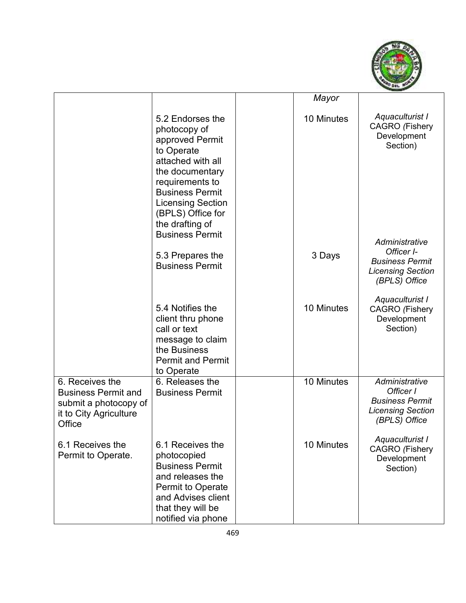

|                                                                                                            |                                                                                                                                                                                                                            | Mayor      |                                                                                                     |
|------------------------------------------------------------------------------------------------------------|----------------------------------------------------------------------------------------------------------------------------------------------------------------------------------------------------------------------------|------------|-----------------------------------------------------------------------------------------------------|
|                                                                                                            | 5.2 Endorses the<br>photocopy of<br>approved Permit<br>to Operate<br>attached with all<br>the documentary<br>requirements to<br><b>Business Permit</b><br><b>Licensing Section</b><br>(BPLS) Office for<br>the drafting of | 10 Minutes | Aquaculturist I<br><b>CAGRO</b> (Fishery<br>Development<br>Section)                                 |
|                                                                                                            | <b>Business Permit</b><br>5.3 Prepares the<br><b>Business Permit</b>                                                                                                                                                       | 3 Days     | Administrative<br>Officer I-<br><b>Business Permit</b><br><b>Licensing Section</b><br>(BPLS) Office |
|                                                                                                            | 5.4 Notifies the<br>client thru phone<br>call or text<br>message to claim<br>the Business<br><b>Permit and Permit</b><br>to Operate                                                                                        | 10 Minutes | Aquaculturist I<br><b>CAGRO</b> (Fishery<br>Development<br>Section)                                 |
| 6. Receives the<br><b>Business Permit and</b><br>submit a photocopy of<br>it to City Agriculture<br>Office | 6. Releases the<br><b>Business Permit</b>                                                                                                                                                                                  | 10 Minutes | Administrative<br>Officer I<br><b>Business Permit</b><br><b>Licensing Section</b><br>(BPLS) Office  |
| 6.1 Receives the<br>Permit to Operate.                                                                     | 6.1 Receives the<br>photocopied<br><b>Business Permit</b><br>and releases the<br><b>Permit to Operate</b><br>and Advises client<br>that they will be<br>notified via phone                                                 | 10 Minutes | Aquaculturist I<br><b>CAGRO</b> (Fishery<br>Development<br>Section)                                 |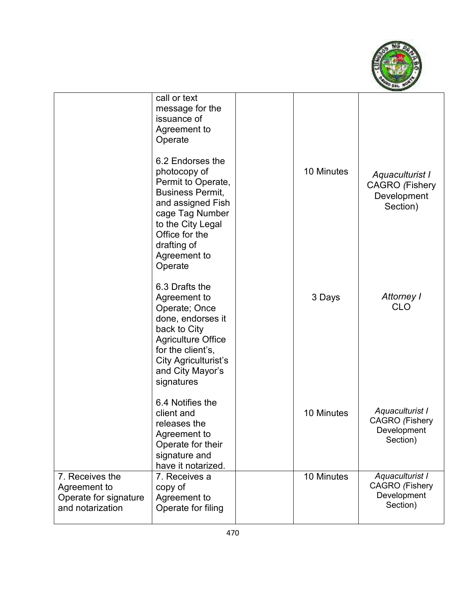

|                                                                              | call or text<br>message for the<br>issuance of<br>Agreement to<br>Operate                                                                                                                                  |            |                                                                     |
|------------------------------------------------------------------------------|------------------------------------------------------------------------------------------------------------------------------------------------------------------------------------------------------------|------------|---------------------------------------------------------------------|
|                                                                              | 6.2 Endorses the<br>photocopy of<br>Permit to Operate,<br><b>Business Permit,</b><br>and assigned Fish<br>cage Tag Number<br>to the City Legal<br>Office for the<br>drafting of<br>Agreement to<br>Operate | 10 Minutes | Aquaculturist I<br><b>CAGRO</b> (Fishery<br>Development<br>Section) |
|                                                                              | 6.3 Drafts the<br>Agreement to<br>Operate; Once<br>done, endorses it<br>back to City<br><b>Agriculture Office</b><br>for the client's,<br>City Agriculturist's<br>and City Mayor's<br>signatures           | 3 Days     | Attorney I<br><b>CLO</b>                                            |
|                                                                              | 6.4 Notifies the<br>client and<br>releases the<br>Agreement to<br>Operate for their<br>signature and<br>have it notarized.                                                                                 | 10 Minutes | Aquaculturist I<br><b>CAGRO</b> (Fishery<br>Development<br>Section) |
| 7. Receives the<br>Agreement to<br>Operate for signature<br>and notarization | 7. Receives a<br>copy of<br>Agreement to<br>Operate for filing                                                                                                                                             | 10 Minutes | Aquaculturist I<br><b>CAGRO</b> (Fishery<br>Development<br>Section) |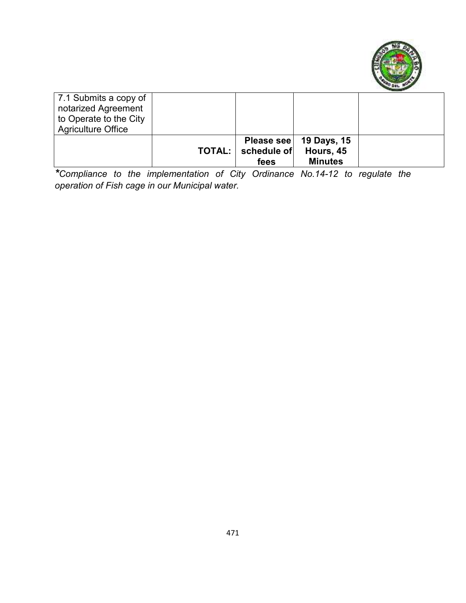

| 7.1 Submits a copy of<br>notarized Agreement<br>to Operate to the City<br><b>Agriculture Office</b> |                                     |                                                         |  |
|-----------------------------------------------------------------------------------------------------|-------------------------------------|---------------------------------------------------------|--|
|                                                                                                     | <b>TOTAL:</b>   schedule of<br>fees | Please see   19 Days, 15<br>Hours, 45<br><b>Minutes</b> |  |

*\*Compliance to the implementation of City Ordinance No.14-12 to regulate the operation of Fish cage in our Municipal water.*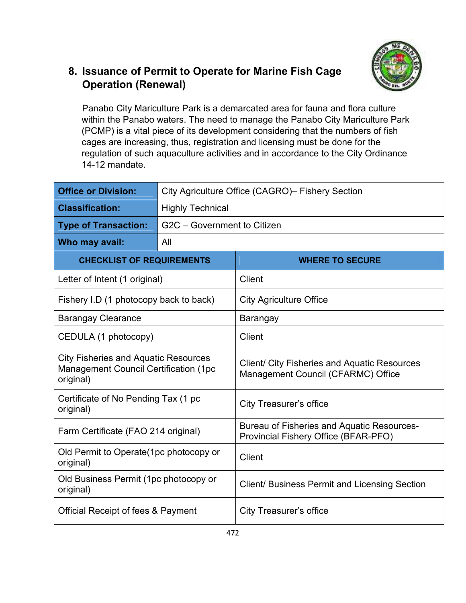

# **8. Issuance of Permit to Operate for Marine Fish Cage Operation (Renewal)**

Panabo City Mariculture Park is a demarcated area for fauna and flora culture within the Panabo waters. The need to manage the Panabo City Mariculture Park (PCMP) is a vital piece of its development considering that the numbers of fish cages are increasing, thus, registration and licensing must be done for the regulation of such aquaculture activities and in accordance to the City Ordinance 14-12 mandate.

| <b>Office or Division:</b>                                                                                | City Agriculture Office (CAGRO) – Fishery Section |                                                                                           |  |  |
|-----------------------------------------------------------------------------------------------------------|---------------------------------------------------|-------------------------------------------------------------------------------------------|--|--|
| <b>Classification:</b>                                                                                    | <b>Highly Technical</b>                           |                                                                                           |  |  |
| <b>Type of Transaction:</b>                                                                               | G2C - Government to Citizen                       |                                                                                           |  |  |
| Who may avail:                                                                                            | All                                               |                                                                                           |  |  |
| <b>CHECKLIST OF REQUIREMENTS</b>                                                                          |                                                   | <b>WHERE TO SECURE</b>                                                                    |  |  |
| Letter of Intent (1 original)                                                                             |                                                   | Client                                                                                    |  |  |
| Fishery I.D (1 photocopy back to back)                                                                    |                                                   | <b>City Agriculture Office</b>                                                            |  |  |
| <b>Barangay Clearance</b>                                                                                 |                                                   | Barangay                                                                                  |  |  |
| CEDULA (1 photocopy)                                                                                      |                                                   | Client                                                                                    |  |  |
| <b>City Fisheries and Aquatic Resources</b><br><b>Management Council Certification (1pc)</b><br>original) |                                                   | Client/ City Fisheries and Aquatic Resources<br>Management Council (CFARMC) Office        |  |  |
| Certificate of No Pending Tax (1 pc<br>original)                                                          |                                                   | <b>City Treasurer's office</b>                                                            |  |  |
| Farm Certificate (FAO 214 original)                                                                       |                                                   | <b>Bureau of Fisheries and Aquatic Resources-</b><br>Provincial Fishery Office (BFAR-PFO) |  |  |
| Old Permit to Operate(1pc photocopy or<br>original)                                                       |                                                   | <b>Client</b>                                                                             |  |  |
| Old Business Permit (1pc photocopy or<br>original)                                                        |                                                   | Client/ Business Permit and Licensing Section                                             |  |  |
| <b>Official Receipt of fees &amp; Payment</b>                                                             |                                                   | <b>City Treasurer's office</b>                                                            |  |  |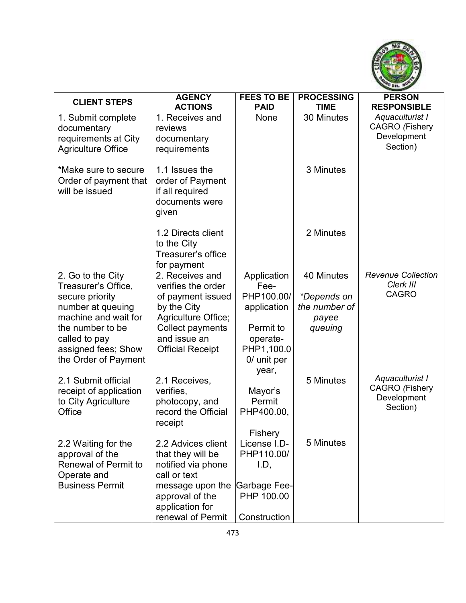

| <b>CLIENT STEPS</b>                                             | <b>AGENCY</b>                                                                    | <b>FEES TO BE</b>   | <b>PROCESSING</b>            | <b>PERSON</b>                          |
|-----------------------------------------------------------------|----------------------------------------------------------------------------------|---------------------|------------------------------|----------------------------------------|
|                                                                 | <b>ACTIONS</b>                                                                   | <b>PAID</b>         | <b>TIME</b>                  | <b>RESPONSIBLE</b>                     |
| 1. Submit complete                                              | 1. Receives and                                                                  | None                | 30 Minutes                   | Aquaculturist I                        |
| documentary                                                     | reviews                                                                          |                     |                              | <b>CAGRO</b> (Fishery                  |
| requirements at City                                            | documentary                                                                      |                     |                              | Development                            |
| <b>Agriculture Office</b>                                       | requirements                                                                     |                     |                              | Section)                               |
| *Make sure to secure<br>Order of payment that<br>will be issued | 1.1 Issues the<br>order of Payment<br>if all required<br>documents were<br>given |                     | 3 Minutes                    |                                        |
|                                                                 | 1.2 Directs client                                                               |                     | 2 Minutes                    |                                        |
|                                                                 | to the City                                                                      |                     |                              |                                        |
|                                                                 | Treasurer's office                                                               |                     |                              |                                        |
|                                                                 | for payment                                                                      |                     |                              |                                        |
| 2. Go to the City                                               | 2. Receives and                                                                  | Application         | 40 Minutes                   | <b>Revenue Collection</b><br>Clerk III |
| Treasurer's Office,                                             | verifies the order                                                               | Fee-<br>PHP100.00/  |                              | <b>CAGRO</b>                           |
| secure priority<br>number at queuing                            | of payment issued<br>by the City                                                 | application         | *Depends on<br>the number of |                                        |
| machine and wait for                                            | Agriculture Office;                                                              |                     |                              |                                        |
| the number to be                                                | Collect payments                                                                 | Permit to           | payee<br>queuing             |                                        |
| called to pay                                                   | and issue an                                                                     | operate-            |                              |                                        |
| assigned fees; Show                                             | <b>Official Receipt</b>                                                          | PHP1,100.0          |                              |                                        |
| the Order of Payment                                            |                                                                                  | 0/ unit per         |                              |                                        |
|                                                                 |                                                                                  | year,               |                              |                                        |
| 2.1 Submit official                                             | 2.1 Receives,                                                                    |                     | 5 Minutes                    | Aquaculturist I                        |
| receipt of application                                          | verifies,                                                                        | Mayor's             |                              | <b>CAGRO</b> (Fishery                  |
| to City Agriculture                                             | photocopy, and                                                                   | Permit              |                              | Development                            |
| Office                                                          | record the Official                                                              | PHP400.00,          |                              | Section)                               |
|                                                                 | receipt                                                                          |                     |                              |                                        |
|                                                                 |                                                                                  | Fishery             |                              |                                        |
| 2.2 Waiting for the                                             | 2.2 Advices client                                                               | License I.D-        | 5 Minutes                    |                                        |
| approval of the                                                 | that they will be                                                                | PHP110.00/          |                              |                                        |
| <b>Renewal of Permit to</b>                                     | notified via phone                                                               | I.D,                |                              |                                        |
| Operate and                                                     | call or text                                                                     |                     |                              |                                        |
| <b>Business Permit</b>                                          | message upon the                                                                 | <b>Garbage Fee-</b> |                              |                                        |
|                                                                 | approval of the                                                                  | PHP 100.00          |                              |                                        |
|                                                                 | application for                                                                  |                     |                              |                                        |
|                                                                 | renewal of Permit                                                                | Construction        |                              |                                        |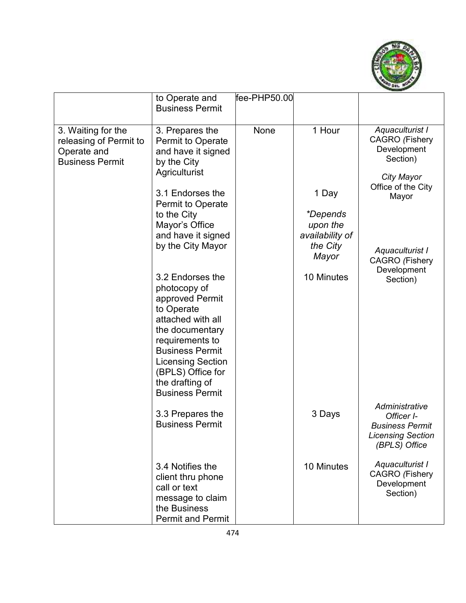

|                                                                                       | to Operate and                                                                                                                                                                                                                                       | fee-PHP50.00 |                             |                                                                                                     |
|---------------------------------------------------------------------------------------|------------------------------------------------------------------------------------------------------------------------------------------------------------------------------------------------------------------------------------------------------|--------------|-----------------------------|-----------------------------------------------------------------------------------------------------|
|                                                                                       | <b>Business Permit</b>                                                                                                                                                                                                                               |              |                             |                                                                                                     |
|                                                                                       |                                                                                                                                                                                                                                                      |              |                             |                                                                                                     |
| 3. Waiting for the<br>releasing of Permit to<br>Operate and<br><b>Business Permit</b> | 3. Prepares the<br>Permit to Operate<br>and have it signed<br>by the City<br>Agriculturist                                                                                                                                                           | None         | 1 Hour                      | Aquaculturist I<br><b>CAGRO</b> (Fishery<br>Development<br>Section)                                 |
|                                                                                       |                                                                                                                                                                                                                                                      |              |                             | City Mayor<br>Office of the City                                                                    |
|                                                                                       | 3.1 Endorses the<br>Permit to Operate                                                                                                                                                                                                                |              | 1 Day                       | Mayor                                                                                               |
|                                                                                       | to the City                                                                                                                                                                                                                                          |              | <i>*Depends</i>             |                                                                                                     |
|                                                                                       | Mayor's Office<br>and have it signed                                                                                                                                                                                                                 |              | upon the<br>availability of |                                                                                                     |
|                                                                                       | by the City Mayor                                                                                                                                                                                                                                    |              | the City<br>Mayor           | Aquaculturist I<br><b>CAGRO</b> (Fishery                                                            |
|                                                                                       | 3.2 Endorses the<br>photocopy of<br>approved Permit<br>to Operate<br>attached with all<br>the documentary<br>requirements to<br><b>Business Permit</b><br><b>Licensing Section</b><br>(BPLS) Office for<br>the drafting of<br><b>Business Permit</b> |              | 10 Minutes                  | Development<br>Section)                                                                             |
|                                                                                       | 3.3 Prepares the<br><b>Business Permit</b>                                                                                                                                                                                                           |              | 3 Days                      | Administrative<br>Officer I-<br><b>Business Permit</b><br><b>Licensing Section</b><br>(BPLS) Office |
|                                                                                       | 3.4 Notifies the<br>client thru phone<br>call or text<br>message to claim<br>the Business<br><b>Permit and Permit</b>                                                                                                                                |              | 10 Minutes                  | Aquaculturist I<br><b>CAGRO</b> (Fishery<br>Development<br>Section)                                 |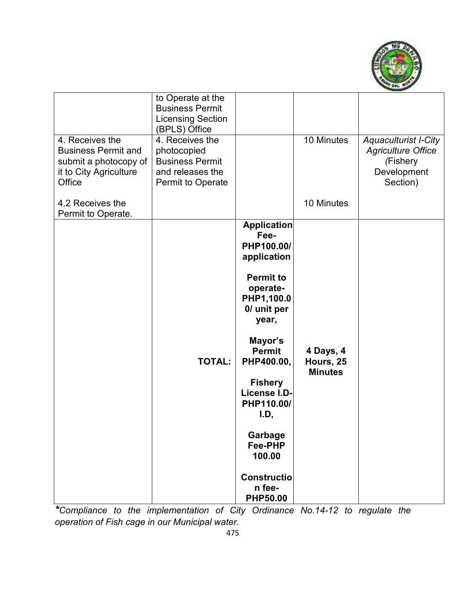

| 4. Receives the<br><b>Business Permit and</b><br>submit a photocopy of<br>it to City Agriculture<br>Office<br>4.2 Receives the<br>Permit to Operate. | to Operate at the<br><b>Business Permit</b><br><b>Licensing Section</b><br>(BPLS) Office<br>4. Receives the<br>photocopied<br><b>Business Permit</b><br>and releases the<br>Permit to Operate |                                                                                                                                                                                                                                                                                                                    | 10 Minutes<br>10 Minutes                 | <b>Aquaculturist I-City</b><br><b>Agriculture Office</b><br>(Fishery<br>Development<br>Section) |
|------------------------------------------------------------------------------------------------------------------------------------------------------|-----------------------------------------------------------------------------------------------------------------------------------------------------------------------------------------------|--------------------------------------------------------------------------------------------------------------------------------------------------------------------------------------------------------------------------------------------------------------------------------------------------------------------|------------------------------------------|-------------------------------------------------------------------------------------------------|
|                                                                                                                                                      | <b>TOTAL:</b>                                                                                                                                                                                 | <b>Application</b><br>Fee-<br>PHP100.00/<br>application<br><b>Permit to</b><br>operate-<br>PHP1,100.0<br>0/ unit per<br>year,<br>Mayor's<br><b>Permit</b><br>PHP400.00,<br><b>Fishery</b><br>License I.D-<br>PHP110.00/<br>I.D,<br>Garbage<br>Fee-PHP<br>100.00<br><b>Constructio</b><br>n fee-<br><b>PHP50.00</b> | 4 Days, 4<br>Hours, 25<br><b>Minutes</b> |                                                                                                 |

*\*Compliance to the implementation of City Ordinance No.14-12 to regulate the operation of Fish cage in our Municipal water.*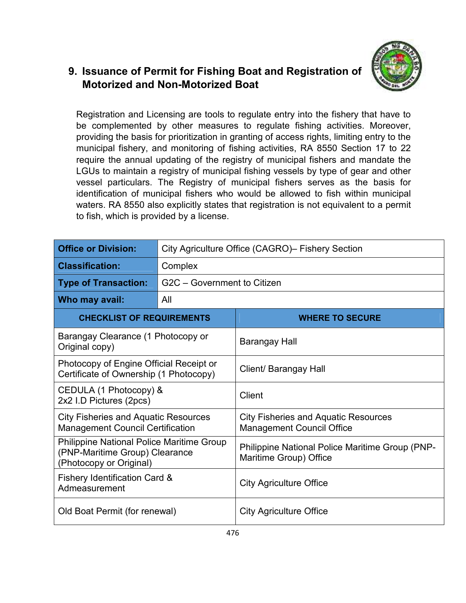### **9. Issuance of Permit for Fishing Boat and Registration of Motorized and Non-Motorized Boat**



Registration and Licensing are tools to regulate entry into the fishery that have to be complemented by other measures to regulate fishing activities. Moreover, providing the basis for prioritization in granting of access rights, limiting entry to the municipal fishery, and monitoring of fishing activities, RA 8550 Section 17 to 22 require the annual updating of the registry of municipal fishers and mandate the LGUs to maintain a registry of municipal fishing vessels by type of gear and other vessel particulars. The Registry of municipal fishers serves as the basis for identification of municipal fishers who would be allowed to fish within municipal waters. RA 8550 also explicitly states that registration is not equivalent to a permit to fish, which is provided by a license.

| <b>Office or Division:</b>                                                                                    | City Agriculture Office (CAGRO) - Fishery Section |                                                                                 |  |
|---------------------------------------------------------------------------------------------------------------|---------------------------------------------------|---------------------------------------------------------------------------------|--|
| <b>Classification:</b>                                                                                        | Complex                                           |                                                                                 |  |
| <b>Type of Transaction:</b>                                                                                   | G2C - Government to Citizen                       |                                                                                 |  |
| Who may avail:                                                                                                | All                                               |                                                                                 |  |
| <b>CHECKLIST OF REQUIREMENTS</b>                                                                              |                                                   | <b>WHERE TO SECURE</b>                                                          |  |
| Barangay Clearance (1 Photocopy or<br>Original copy)                                                          |                                                   | Barangay Hall                                                                   |  |
| Photocopy of Engine Official Receipt or<br>Certificate of Ownership (1 Photocopy)                             |                                                   | Client/ Barangay Hall                                                           |  |
| CEDULA (1 Photocopy) &<br>2x2 I.D Pictures (2pcs)                                                             |                                                   | Client                                                                          |  |
| <b>City Fisheries and Aquatic Resources</b><br><b>Management Council Certification</b>                        |                                                   | <b>City Fisheries and Aquatic Resources</b><br><b>Management Council Office</b> |  |
| <b>Philippine National Police Maritime Group</b><br>(PNP-Maritime Group) Clearance<br>(Photocopy or Original) |                                                   | Philippine National Police Maritime Group (PNP-<br>Maritime Group) Office       |  |
| <b>Fishery Identification Card &amp;</b><br>Admeasurement                                                     |                                                   | <b>City Agriculture Office</b>                                                  |  |
| Old Boat Permit (for renewal)<br><b>City Agriculture Office</b>                                               |                                                   |                                                                                 |  |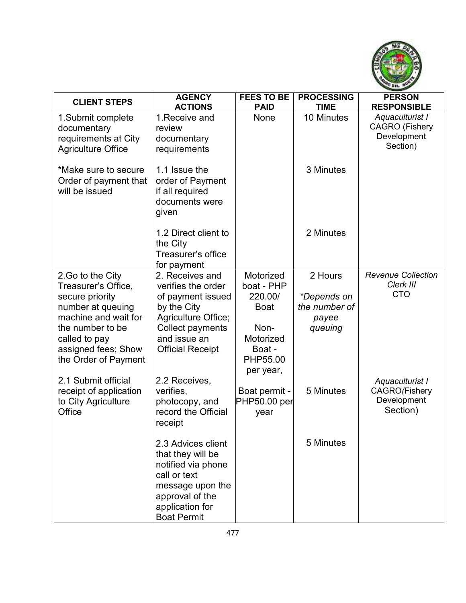

| <b>CLIENT STEPS</b>                     | <b>AGENCY</b>                         | <b>FEES TO BE</b>                    | <b>PROCESSING</b>            | <b>PERSON</b>                            |
|-----------------------------------------|---------------------------------------|--------------------------------------|------------------------------|------------------------------------------|
|                                         | <b>ACTIONS</b>                        | <b>PAID</b>                          | <b>TIME</b>                  | <b>RESPONSIBLE</b>                       |
| 1. Submit complete                      | 1. Receive and<br>review              | None                                 | 10 Minutes                   | Aquaculturist I<br><b>CAGRO</b> (Fishery |
| documentary<br>requirements at City     | documentary                           |                                      |                              | Development                              |
| <b>Agriculture Office</b>               | requirements                          |                                      |                              | Section)                                 |
|                                         |                                       |                                      |                              |                                          |
| *Make sure to secure                    | 1.1 Issue the                         |                                      | 3 Minutes                    |                                          |
| Order of payment that<br>will be issued | order of Payment<br>if all required   |                                      |                              |                                          |
|                                         | documents were                        |                                      |                              |                                          |
|                                         | given                                 |                                      |                              |                                          |
|                                         | 1.2 Direct client to                  |                                      | 2 Minutes                    |                                          |
|                                         | the City                              |                                      |                              |                                          |
|                                         | Treasurer's office                    |                                      |                              |                                          |
|                                         | for payment                           |                                      |                              |                                          |
| 2. Go to the City                       | 2. Receives and                       | Motorized                            | 2 Hours                      | <b>Revenue Collection</b><br>Clerk III   |
| Treasurer's Office,<br>secure priority  | verifies the order                    | boat - PHP<br>220.00/                |                              | <b>CTO</b>                               |
| number at queuing                       | of payment issued<br>by the City      | <b>Boat</b>                          | *Depends on<br>the number of |                                          |
| machine and wait for                    | Agriculture Office;                   |                                      | payee                        |                                          |
| the number to be                        | Collect payments                      | Non-                                 | queuing                      |                                          |
| called to pay                           | and issue an                          | Motorized                            |                              |                                          |
| assigned fees; Show                     | <b>Official Receipt</b>               | Boat -                               |                              |                                          |
| the Order of Payment                    |                                       | PHP55.00                             |                              |                                          |
|                                         |                                       | per year,                            |                              |                                          |
| 2.1 Submit official                     | 2.2 Receives,                         |                                      |                              | Aquaculturist I                          |
| receipt of application                  | verifies,                             | Boat permit -<br><b>PHP50.00 per</b> | 5 Minutes                    | CAGRO (Fishery<br>Development            |
| to City Agriculture<br>Office           | photocopy, and<br>record the Official | year                                 |                              | Section)                                 |
|                                         | receipt                               |                                      |                              |                                          |
|                                         |                                       |                                      |                              |                                          |
|                                         | 2.3 Advices client                    |                                      | 5 Minutes                    |                                          |
|                                         | that they will be                     |                                      |                              |                                          |
|                                         | notified via phone                    |                                      |                              |                                          |
|                                         | call or text                          |                                      |                              |                                          |
|                                         | message upon the                      |                                      |                              |                                          |
|                                         | approval of the<br>application for    |                                      |                              |                                          |
|                                         | <b>Boat Permit</b>                    |                                      |                              |                                          |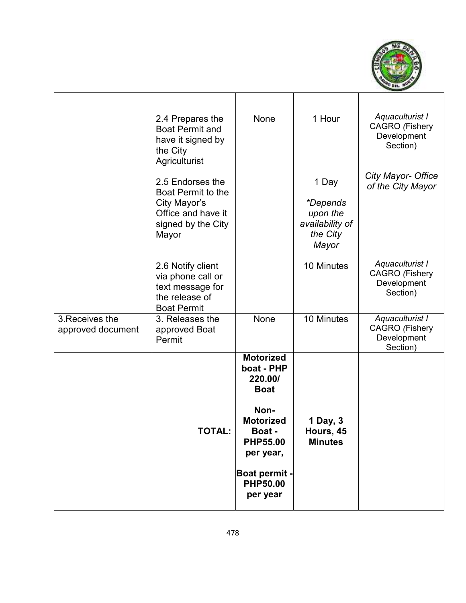

|                                      | 2.4 Prepares the<br><b>Boat Permit and</b><br>have it signed by<br>the City<br>Agriculturist                | None                                                                                                                                                                           | 1 Hour                                                                | Aquaculturist I<br><b>CAGRO</b> (Fishery<br>Development<br>Section) |
|--------------------------------------|-------------------------------------------------------------------------------------------------------------|--------------------------------------------------------------------------------------------------------------------------------------------------------------------------------|-----------------------------------------------------------------------|---------------------------------------------------------------------|
|                                      | 2.5 Endorses the<br>Boat Permit to the<br>City Mayor's<br>Office and have it<br>signed by the City<br>Mayor |                                                                                                                                                                                | 1 Day<br>*Depends<br>upon the<br>availability of<br>the City<br>Mayor | City Mayor- Office<br>of the City Mayor                             |
|                                      | 2.6 Notify client<br>via phone call or<br>text message for<br>the release of<br><b>Boat Permit</b>          |                                                                                                                                                                                | 10 Minutes                                                            | Aquaculturist I<br><b>CAGRO</b> (Fishery<br>Development<br>Section) |
| 3. Receives the<br>approved document | 3. Releases the<br>approved Boat<br>Permit                                                                  | None                                                                                                                                                                           | 10 Minutes                                                            | Aquaculturist I<br><b>CAGRO</b> (Fishery<br>Development<br>Section) |
|                                      | <b>TOTAL:</b>                                                                                               | <b>Motorized</b><br>boat - PHP<br>220.00/<br><b>Boat</b><br>Non-<br><b>Motorized</b><br>Boat -<br><b>PHP55.00</b><br>per year,<br>Boat permit -<br><b>PHP50.00</b><br>per year | 1 Day, 3<br>Hours, 45<br><b>Minutes</b>                               |                                                                     |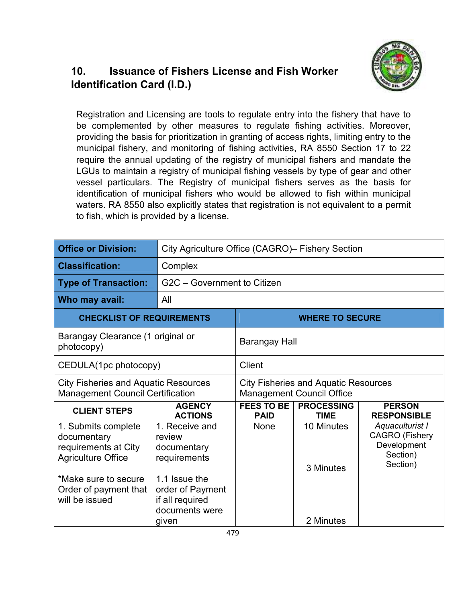# **10. Issuance of Fishers License and Fish Worker Identification Card (I.D.)**



Registration and Licensing are tools to regulate entry into the fishery that have to be complemented by other measures to regulate fishing activities. Moreover, providing the basis for prioritization in granting of access rights, limiting entry to the municipal fishery, and monitoring of fishing activities, RA 8550 Section 17 to 22 require the annual updating of the registry of municipal fishers and mandate the LGUs to maintain a registry of municipal fishing vessels by type of gear and other vessel particulars. The Registry of municipal fishers serves as the basis for identification of municipal fishers who would be allowed to fish within municipal waters. RA 8550 also explicitly states that registration is not equivalent to a permit to fish, which is provided by a license.

| <b>Office or Division:</b>                                                                                                                                 |                                                                                                                                   | City Agriculture Office (CAGRO) - Fishery Section |                                                                                 |                                                                                 |
|------------------------------------------------------------------------------------------------------------------------------------------------------------|-----------------------------------------------------------------------------------------------------------------------------------|---------------------------------------------------|---------------------------------------------------------------------------------|---------------------------------------------------------------------------------|
| <b>Classification:</b>                                                                                                                                     | Complex                                                                                                                           |                                                   |                                                                                 |                                                                                 |
| <b>Type of Transaction:</b>                                                                                                                                | G2C - Government to Citizen                                                                                                       |                                                   |                                                                                 |                                                                                 |
| Who may avail:                                                                                                                                             | All                                                                                                                               |                                                   |                                                                                 |                                                                                 |
| <b>CHECKLIST OF REQUIREMENTS</b>                                                                                                                           | <b>WHERE TO SECURE</b>                                                                                                            |                                                   |                                                                                 |                                                                                 |
| photocopy)                                                                                                                                                 | Barangay Clearance (1 original or<br>Barangay Hall                                                                                |                                                   |                                                                                 |                                                                                 |
| CEDULA(1pc photocopy)                                                                                                                                      |                                                                                                                                   | <b>Client</b>                                     |                                                                                 |                                                                                 |
| <b>City Fisheries and Aquatic Resources</b><br><b>Management Council Certification</b>                                                                     |                                                                                                                                   |                                                   | <b>City Fisheries and Aquatic Resources</b><br><b>Management Council Office</b> |                                                                                 |
| <b>CLIENT STEPS</b>                                                                                                                                        | <b>AGENCY</b><br><b>ACTIONS</b>                                                                                                   | <b>FEES TO BE</b><br><b>PAID</b>                  | <b>PROCESSING</b><br><b>TIME</b>                                                | <b>PERSON</b><br><b>RESPONSIBLE</b>                                             |
| 1. Submits complete<br>documentary<br>requirements at City<br><b>Agriculture Office</b><br>*Make sure to secure<br>Order of payment that<br>will be issued | 1. Receive and<br>review<br>documentary<br>requirements<br>1.1 Issue the<br>order of Payment<br>if all required<br>documents were | None                                              | 10 Minutes<br>3 Minutes                                                         | Aquaculturist I<br><b>CAGRO</b> (Fishery<br>Development<br>Section)<br>Section) |
|                                                                                                                                                            | given                                                                                                                             |                                                   | 2 Minutes                                                                       |                                                                                 |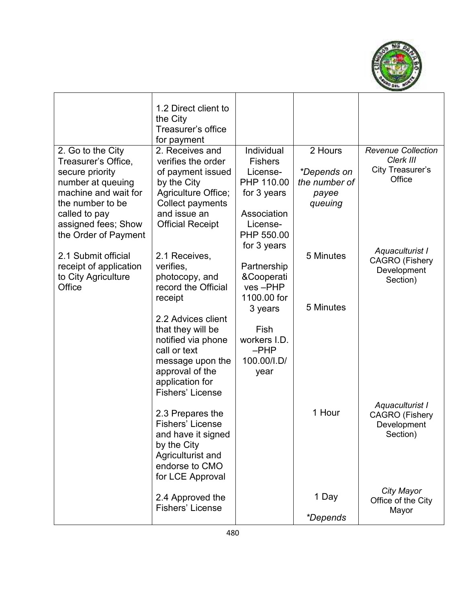

|                                             | 1.2 Direct client to<br>the City<br>Treasurer's office<br>for payment |                            |                 |                                          |
|---------------------------------------------|-----------------------------------------------------------------------|----------------------------|-----------------|------------------------------------------|
| 2. Go to the City                           | 2. Receives and                                                       | Individual                 | 2 Hours         | <b>Revenue Collection</b><br>Clerk III   |
| Treasurer's Office,<br>secure priority      | verifies the order<br>of payment issued                               | <b>Fishers</b><br>License- | *Depends on     | City Treasurer's                         |
| number at queuing                           | by the City                                                           | PHP 110.00                 | the number of   | Office                                   |
| machine and wait for                        | Agriculture Office;                                                   | for 3 years                | payee           |                                          |
| the number to be                            | Collect payments                                                      |                            | queuing         |                                          |
| called to pay                               | and issue an                                                          | Association                |                 |                                          |
| assigned fees; Show<br>the Order of Payment | <b>Official Receipt</b>                                               | License-<br>PHP 550.00     |                 |                                          |
|                                             |                                                                       | for 3 years                |                 |                                          |
| 2.1 Submit official                         | 2.1 Receives,                                                         |                            | 5 Minutes       | Aquaculturist I                          |
| receipt of application                      | verifies,                                                             | Partnership                |                 | <b>CAGRO</b> (Fishery<br>Development     |
| to City Agriculture                         | photocopy, and                                                        | &Cooperati                 |                 | Section)                                 |
| Office                                      | record the Official<br>receipt                                        | ves-PHP<br>1100.00 for     |                 |                                          |
|                                             |                                                                       | 3 years                    | 5 Minutes       |                                          |
|                                             | 2.2 Advices client<br>that they will be<br>notified via phone         | Fish<br>workers I.D.       |                 |                                          |
|                                             | call or text                                                          | $-PHP$                     |                 |                                          |
|                                             | message upon the<br>approval of the<br>application for                | 100.00/I.D/<br>year        |                 |                                          |
|                                             | Fishers' License                                                      |                            |                 |                                          |
|                                             | 2.3 Prepares the                                                      |                            | 1 Hour          | Aquaculturist I<br><b>CAGRO</b> (Fishery |
|                                             | Fishers' License                                                      |                            |                 | Development                              |
|                                             | and have it signed                                                    |                            |                 | Section)                                 |
|                                             | by the City<br>Agriculturist and                                      |                            |                 |                                          |
|                                             | endorse to CMO                                                        |                            |                 |                                          |
|                                             | for LCE Approval                                                      |                            |                 |                                          |
|                                             |                                                                       |                            |                 | City Mayor                               |
|                                             | 2.4 Approved the                                                      |                            | 1 Day           | Office of the City                       |
|                                             | Fishers' License                                                      |                            | <i>*Depends</i> | Mayor                                    |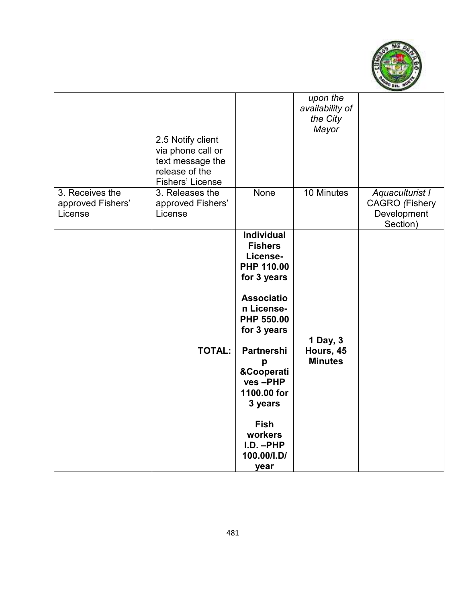

| 3. Receives the              | 2.5 Notify client<br>via phone call or<br>text message the<br>release of the<br><b>Fishers' License</b><br>3. Releases the | None                                                                                                                                                                                                                                                                                       | upon the<br>availability of<br>the City<br>Mayor<br>10 Minutes |                                                                     |
|------------------------------|----------------------------------------------------------------------------------------------------------------------------|--------------------------------------------------------------------------------------------------------------------------------------------------------------------------------------------------------------------------------------------------------------------------------------------|----------------------------------------------------------------|---------------------------------------------------------------------|
| approved Fishers'<br>License | approved Fishers'<br>License                                                                                               |                                                                                                                                                                                                                                                                                            |                                                                | Aquaculturist I<br><b>CAGRO</b> (Fishery<br>Development<br>Section) |
|                              | <b>TOTAL:</b>                                                                                                              | <b>Individual</b><br><b>Fishers</b><br>License-<br>PHP 110.00<br>for 3 years<br><b>Associatio</b><br>n License-<br>PHP 550.00<br>for 3 years<br><b>Partnershi</b><br>р<br>&Cooperati<br>ves-PHP<br>1100.00 for<br>3 years<br><b>Fish</b><br>workers<br>$I.D. - PHP$<br>100.00/I.D/<br>year | 1 Day, 3<br>Hours, 45<br><b>Minutes</b>                        |                                                                     |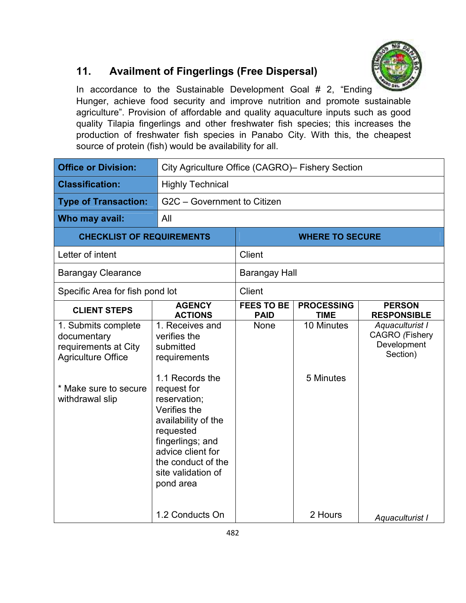

# **11. Availment of Fingerlings (Free Dispersal)**

In accordance to the Sustainable Development Goal # 2, "Ending Hunger, achieve food security and improve nutrition and promote sustainable agriculture". Provision of affordable and quality aquaculture inputs such as good quality Tilapia fingerlings and other freshwater fish species; this increases the production of freshwater fish species in Panabo City. With this, the cheapest source of protein (fish) would be availability for all.

| <b>Office or Division:</b>                                                                                                          |                                                                                                                                                                                                                                                                      | City Agriculture Office (CAGRO)- Fishery Section |                                  |                                                                     |
|-------------------------------------------------------------------------------------------------------------------------------------|----------------------------------------------------------------------------------------------------------------------------------------------------------------------------------------------------------------------------------------------------------------------|--------------------------------------------------|----------------------------------|---------------------------------------------------------------------|
| <b>Classification:</b>                                                                                                              | <b>Highly Technical</b>                                                                                                                                                                                                                                              |                                                  |                                  |                                                                     |
| <b>Type of Transaction:</b>                                                                                                         | G2C - Government to Citizen                                                                                                                                                                                                                                          |                                                  |                                  |                                                                     |
| Who may avail:                                                                                                                      | All                                                                                                                                                                                                                                                                  |                                                  |                                  |                                                                     |
| <b>CHECKLIST OF REQUIREMENTS</b>                                                                                                    |                                                                                                                                                                                                                                                                      |                                                  | <b>WHERE TO SECURE</b>           |                                                                     |
| Letter of intent                                                                                                                    |                                                                                                                                                                                                                                                                      | <b>Client</b>                                    |                                  |                                                                     |
| <b>Barangay Clearance</b>                                                                                                           |                                                                                                                                                                                                                                                                      | <b>Barangay Hall</b>                             |                                  |                                                                     |
| Specific Area for fish pond lot                                                                                                     |                                                                                                                                                                                                                                                                      | <b>Client</b>                                    |                                  |                                                                     |
| <b>CLIENT STEPS</b>                                                                                                                 | <b>AGENCY</b><br><b>ACTIONS</b>                                                                                                                                                                                                                                      | <b>FEES TO BE</b><br><b>PAID</b>                 | <b>PROCESSING</b><br><b>TIME</b> | <b>PERSON</b><br><b>RESPONSIBLE</b>                                 |
| 1. Submits complete<br>documentary<br>requirements at City<br><b>Agriculture Office</b><br>* Make sure to secure<br>withdrawal slip | 1. Receives and<br>verifies the<br>submitted<br>requirements<br>1.1 Records the<br>request for<br>reservation;<br>Verifies the<br>availability of the<br>requested<br>fingerlings; and<br>advice client for<br>the conduct of the<br>site validation of<br>pond area | None                                             | 10 Minutes<br>5 Minutes          | Aquaculturist I<br><b>CAGRO</b> (Fishery<br>Development<br>Section) |
|                                                                                                                                     | 1.2 Conducts On                                                                                                                                                                                                                                                      |                                                  | 2 Hours                          | Aquaculturist I                                                     |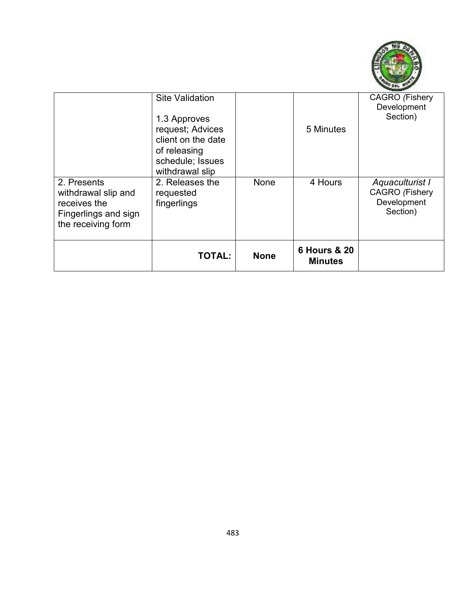

|                                                                                                  | <b>Site Validation</b><br>1.3 Approves<br>request; Advices<br>client on the date<br>of releasing<br>schedule; Issues<br>withdrawal slip |             | 5 Minutes                                 | <b>CAGRO</b> (Fishery<br>Development<br>Section)                    |
|--------------------------------------------------------------------------------------------------|-----------------------------------------------------------------------------------------------------------------------------------------|-------------|-------------------------------------------|---------------------------------------------------------------------|
| 2. Presents<br>withdrawal slip and<br>receives the<br>Fingerlings and sign<br>the receiving form | 2. Releases the<br>requested<br>fingerlings                                                                                             | None        | 4 Hours                                   | Aquaculturist I<br><b>CAGRO</b> (Fishery<br>Development<br>Section) |
|                                                                                                  | <b>TOTAL:</b>                                                                                                                           | <b>None</b> | <b>6 Hours &amp; 20</b><br><b>Minutes</b> |                                                                     |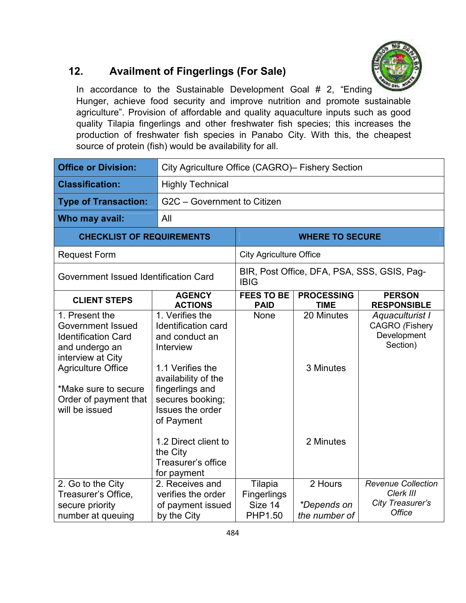

# **12. Availment of Fingerlings (For Sale)**

In accordance to the Sustainable Development Goal # 2, "Ending Hunger, achieve food security and improve nutrition and promote sustainable agriculture". Provision of affordable and quality aquaculture inputs such as good quality Tilapia fingerlings and other freshwater fish species; this increases the production of freshwater fish species in Panabo City. With this, the cheapest source of protein (fish) would be availability for all.

| <b>Office or Division:</b>                                                                                                                                                                                      | City Agriculture Office (CAGRO)- Fishery Section                                                                                                                                                                                                                   |                                                            |                                         |                                                                             |
|-----------------------------------------------------------------------------------------------------------------------------------------------------------------------------------------------------------------|--------------------------------------------------------------------------------------------------------------------------------------------------------------------------------------------------------------------------------------------------------------------|------------------------------------------------------------|-----------------------------------------|-----------------------------------------------------------------------------|
| <b>Classification:</b>                                                                                                                                                                                          | <b>Highly Technical</b>                                                                                                                                                                                                                                            |                                                            |                                         |                                                                             |
| <b>Type of Transaction:</b>                                                                                                                                                                                     | G2C - Government to Citizen                                                                                                                                                                                                                                        |                                                            |                                         |                                                                             |
| Who may avail:                                                                                                                                                                                                  | All                                                                                                                                                                                                                                                                |                                                            |                                         |                                                                             |
| <b>CHECKLIST OF REQUIREMENTS</b>                                                                                                                                                                                | <b>WHERE TO SECURE</b>                                                                                                                                                                                                                                             |                                                            |                                         |                                                                             |
| <b>Request Form</b>                                                                                                                                                                                             |                                                                                                                                                                                                                                                                    | <b>City Agriculture Office</b>                             |                                         |                                                                             |
| Government Issued Identification Card                                                                                                                                                                           |                                                                                                                                                                                                                                                                    | BIR, Post Office, DFA, PSA, SSS, GSIS, Pag-<br><b>IBIG</b> |                                         |                                                                             |
| <b>CLIENT STEPS</b>                                                                                                                                                                                             | <b>AGENCY</b><br><b>ACTIONS</b>                                                                                                                                                                                                                                    | <b>FEES TO BE</b><br><b>PAID</b>                           | <b>PROCESSING</b><br><b>TIME</b>        | <b>PERSON</b><br><b>RESPONSIBLE</b>                                         |
| 1. Present the<br><b>Government Issued</b><br><b>Identification Card</b><br>and undergo an<br>interview at City<br><b>Agriculture Office</b><br>*Make sure to secure<br>Order of payment that<br>will be issued | 1. Verifies the<br>Identification card<br>and conduct an<br>Interview<br>1.1 Verifies the<br>availability of the<br>fingerlings and<br>secures booking;<br>Issues the order<br>of Payment<br>1.2 Direct client to<br>the City<br>Treasurer's office<br>for payment | None                                                       | 20 Minutes<br>3 Minutes<br>2 Minutes    | Aquaculturist I<br><b>CAGRO</b> (Fishery<br>Development<br>Section)         |
| 2. Go to the City<br>Treasurer's Office,<br>secure priority<br>number at queuing                                                                                                                                | 2. Receives and<br>verifies the order<br>of payment issued<br>by the City                                                                                                                                                                                          | Tilapia<br><b>Fingerlings</b><br>Size 14<br>PHP1.50        | 2 Hours<br>*Depends on<br>the number of | <b>Revenue Collection</b><br>Clerk III<br>City Treasurer's<br><b>Office</b> |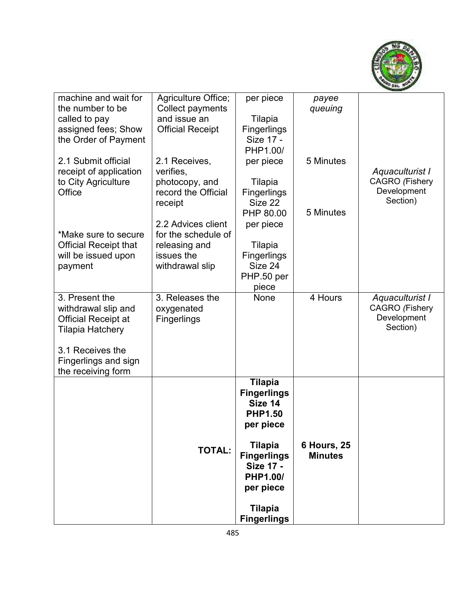

| machine and wait for         | Agriculture Office;     | per piece          | payee              |                         |
|------------------------------|-------------------------|--------------------|--------------------|-------------------------|
| the number to be             | Collect payments        |                    | queuing            |                         |
| called to pay                | and issue an            | Tilapia            |                    |                         |
| assigned fees; Show          | <b>Official Receipt</b> | Fingerlings        |                    |                         |
| the Order of Payment         |                         | Size 17 -          |                    |                         |
|                              |                         | PHP1.00/           |                    |                         |
| 2.1 Submit official          | 2.1 Receives,           | per piece          | 5 Minutes          |                         |
| receipt of application       | verifies,               |                    |                    | Aquaculturist I         |
| to City Agriculture          | photocopy, and          | Tilapia            |                    | <b>CAGRO</b> (Fishery   |
| Office                       | record the Official     | Fingerlings        |                    | Development             |
|                              | receipt                 | Size 22            |                    | Section)                |
|                              |                         | PHP 80.00          | 5 Minutes          |                         |
|                              | 2.2 Advices client      | per piece          |                    |                         |
| *Make sure to secure         | for the schedule of     |                    |                    |                         |
| <b>Official Receipt that</b> | releasing and           | Tilapia            |                    |                         |
| will be issued upon          | issues the              | Fingerlings        |                    |                         |
| payment                      | withdrawal slip         | Size 24            |                    |                         |
|                              |                         | PHP.50 per         |                    |                         |
|                              |                         | piece              |                    |                         |
| 3. Present the               | 3. Releases the         | None               | 4 Hours            | Aquaculturist I         |
| withdrawal slip and          | oxygenated              |                    |                    | <b>CAGRO</b> (Fishery   |
| Official Receipt at          | <b>Fingerlings</b>      |                    |                    | Development<br>Section) |
| Tilapia Hatchery             |                         |                    |                    |                         |
| 3.1 Receives the             |                         |                    |                    |                         |
| Fingerlings and sign         |                         |                    |                    |                         |
| the receiving form           |                         |                    |                    |                         |
|                              |                         | <b>Tilapia</b>     |                    |                         |
|                              |                         | <b>Fingerlings</b> |                    |                         |
|                              |                         | Size 14            |                    |                         |
|                              |                         | <b>PHP1.50</b>     |                    |                         |
|                              |                         | per piece          |                    |                         |
|                              |                         |                    |                    |                         |
|                              | <b>TOTAL:</b>           | <b>Tilapia</b>     | <b>6 Hours, 25</b> |                         |
|                              |                         | <b>Fingerlings</b> | <b>Minutes</b>     |                         |
|                              |                         | <b>Size 17 -</b>   |                    |                         |
|                              |                         | <b>PHP1.00/</b>    |                    |                         |
|                              |                         | per piece          |                    |                         |
|                              |                         | <b>Tilapia</b>     |                    |                         |
|                              |                         | <b>Fingerlings</b> |                    |                         |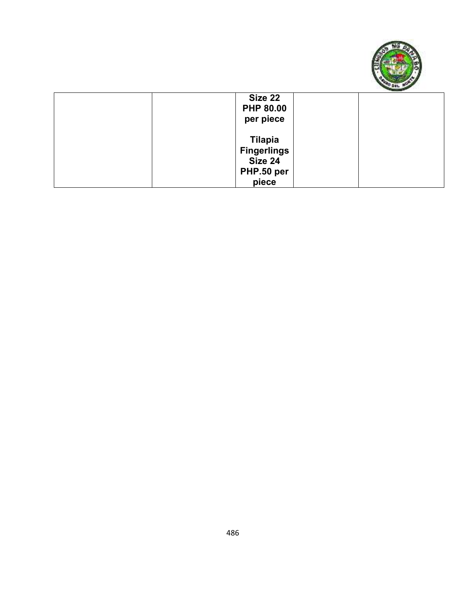

| Size 22<br><b>PHP 80.00</b><br>per piece                               |  |
|------------------------------------------------------------------------|--|
| <b>Tilapia</b><br><b>Fingerlings</b><br>Size 24<br>PHP.50 per<br>piece |  |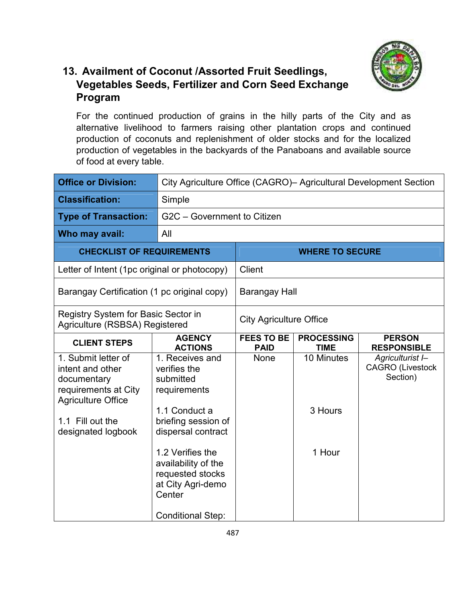

#### **13. Availment of Coconut /Assorted Fruit Seedlings, Vegetables Seeds, Fertilizer and Corn Seed Exchange Program**

For the continued production of grains in the hilly parts of the City and as alternative livelihood to farmers raising other plantation crops and continued production of coconuts and replenishment of older stocks and for the localized production of vegetables in the backyards of the Panaboans and available source of food at every table.

| <b>Office or Division:</b>                                                                                                                            | City Agriculture Office (CAGRO) - Agricultural Development Section                                                                                                                        |                                  |                                  |                                                         |
|-------------------------------------------------------------------------------------------------------------------------------------------------------|-------------------------------------------------------------------------------------------------------------------------------------------------------------------------------------------|----------------------------------|----------------------------------|---------------------------------------------------------|
| <b>Classification:</b>                                                                                                                                | Simple                                                                                                                                                                                    |                                  |                                  |                                                         |
| <b>Type of Transaction:</b>                                                                                                                           | G2C - Government to Citizen                                                                                                                                                               |                                  |                                  |                                                         |
| Who may avail:                                                                                                                                        | All                                                                                                                                                                                       |                                  |                                  |                                                         |
| <b>CHECKLIST OF REQUIREMENTS</b>                                                                                                                      |                                                                                                                                                                                           | <b>WHERE TO SECURE</b>           |                                  |                                                         |
| Letter of Intent (1pc original or photocopy)                                                                                                          |                                                                                                                                                                                           | <b>Client</b>                    |                                  |                                                         |
| Barangay Certification (1 pc original copy)                                                                                                           |                                                                                                                                                                                           | <b>Barangay Hall</b>             |                                  |                                                         |
| Registry System for Basic Sector in<br>Agriculture (RSBSA) Registered                                                                                 |                                                                                                                                                                                           | <b>City Agriculture Office</b>   |                                  |                                                         |
| <b>CLIENT STEPS</b>                                                                                                                                   | <b>AGENCY</b><br><b>ACTIONS</b>                                                                                                                                                           | <b>FEES TO BE</b><br><b>PAID</b> | <b>PROCESSING</b><br><b>TIME</b> | <b>PERSON</b><br><b>RESPONSIBLE</b>                     |
| 1. Submit letter of<br>intent and other<br>documentary<br>requirements at City<br><b>Agriculture Office</b><br>1.1 Fill out the<br>designated logbook | 1. Receives and<br>verifies the<br>submitted<br>requirements<br>1.1 Conduct a<br>briefing session of<br>dispersal contract<br>1.2 Verifies the<br>availability of the<br>requested stocks | None                             | 10 Minutes<br>3 Hours<br>1 Hour  | Agriculturist I-<br><b>CAGRO</b> (Livestock<br>Section) |
|                                                                                                                                                       | at City Agri-demo<br>Center<br><b>Conditional Step:</b>                                                                                                                                   |                                  |                                  |                                                         |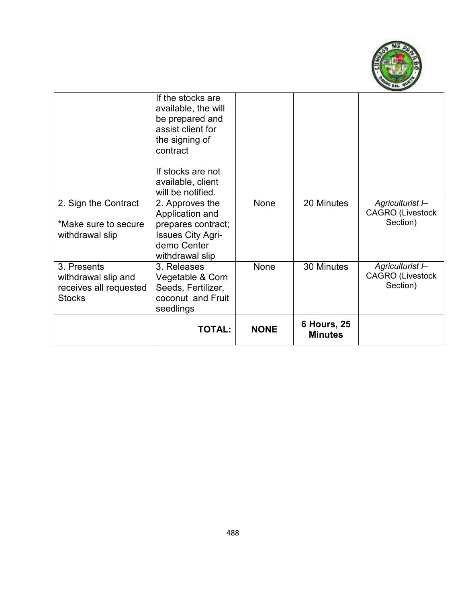

|                                                                               | <b>TOTAL:</b>                                                                                                                                                                 | <b>NONE</b> | <b>6 Hours, 25</b><br><b>Minutes</b> |                                                         |
|-------------------------------------------------------------------------------|-------------------------------------------------------------------------------------------------------------------------------------------------------------------------------|-------------|--------------------------------------|---------------------------------------------------------|
| 3. Presents<br>withdrawal slip and<br>receives all requested<br><b>Stocks</b> | 3. Releases<br>Vegetable & Corn<br>Seeds, Fertilizer,<br>coconut and Fruit<br>seedlings                                                                                       | None        | 30 Minutes                           | Agriculturist I-<br><b>CAGRO</b> (Livestock<br>Section) |
| 2. Sign the Contract<br>*Make sure to secure<br>withdrawal slip               | 2. Approves the<br>Application and<br>prepares contract;<br><b>Issues City Agri-</b><br>demo Center<br>withdrawal slip                                                        | None        | 20 Minutes                           | Agriculturist I-<br><b>CAGRO (Livestock</b><br>Section) |
|                                                                               | If the stocks are<br>available, the will<br>be prepared and<br>assist client for<br>the signing of<br>contract<br>If stocks are not<br>available, client<br>will be notified. |             |                                      |                                                         |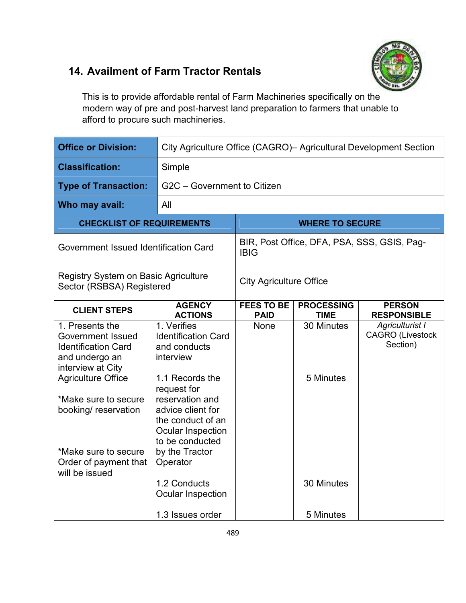### **14. Availment of Farm Tractor Rentals**



This is to provide affordable rental of Farm Machineries specifically on the modern way of pre and post-harvest land preparation to farmers that unable to afford to procure such machineries.

| <b>Office or Division:</b>                                                                                                                                                                    | City Agriculture Office (CAGRO) - Agricultural Development Section                                                                                                                                |                                                            |                                  |                                                               |
|-----------------------------------------------------------------------------------------------------------------------------------------------------------------------------------------------|---------------------------------------------------------------------------------------------------------------------------------------------------------------------------------------------------|------------------------------------------------------------|----------------------------------|---------------------------------------------------------------|
| <b>Classification:</b>                                                                                                                                                                        | Simple                                                                                                                                                                                            |                                                            |                                  |                                                               |
| <b>Type of Transaction:</b>                                                                                                                                                                   | G2C - Government to Citizen                                                                                                                                                                       |                                                            |                                  |                                                               |
| Who may avail:                                                                                                                                                                                | All                                                                                                                                                                                               |                                                            |                                  |                                                               |
| <b>CHECKLIST OF REQUIREMENTS</b>                                                                                                                                                              | <b>WHERE TO SECURE</b>                                                                                                                                                                            |                                                            |                                  |                                                               |
| Government Issued Identification Card                                                                                                                                                         |                                                                                                                                                                                                   | BIR, Post Office, DFA, PSA, SSS, GSIS, Pag-<br><b>IBIG</b> |                                  |                                                               |
| <b>Registry System on Basic Agriculture</b><br>Sector (RSBSA) Registered                                                                                                                      |                                                                                                                                                                                                   | <b>City Agriculture Office</b>                             |                                  |                                                               |
| <b>CLIENT STEPS</b>                                                                                                                                                                           | <b>AGENCY</b><br><b>ACTIONS</b>                                                                                                                                                                   | <b>FEES TO BE</b><br><b>PAID</b>                           | <b>PROCESSING</b><br><b>TIME</b> | <b>PERSON</b><br><b>RESPONSIBLE</b>                           |
| 1. Presents the<br><b>Government Issued</b><br><b>Identification Card</b><br>and undergo an<br>interview at City<br><b>Agriculture Office</b><br>*Make sure to secure<br>booking/ reservation | 1. Verifies<br><b>Identification Card</b><br>and conducts<br>interview<br>1.1 Records the<br>request for<br>reservation and<br>advice client for<br>the conduct of an<br><b>Ocular Inspection</b> | None                                                       | 30 Minutes<br>5 Minutes          | <b>Agriculturist I</b><br><b>CAGRO</b> (Livestock<br>Section) |
| *Make sure to secure<br>Order of payment that<br>will be issued                                                                                                                               | to be conducted<br>by the Tractor<br>Operator<br>1.2 Conducts<br><b>Ocular Inspection</b><br>1.3 Issues order                                                                                     |                                                            | 30 Minutes<br>5 Minutes          |                                                               |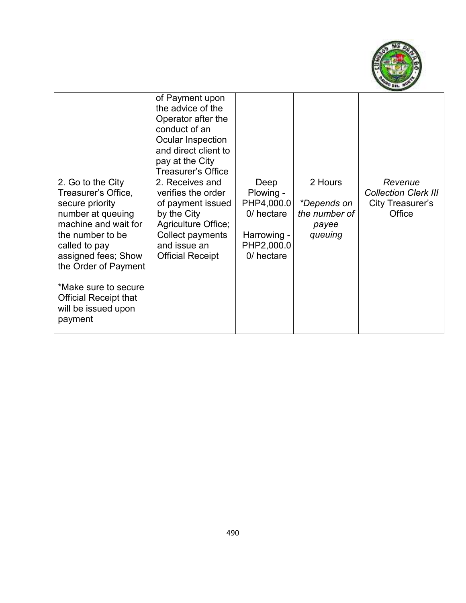

|                                                                                                                                                                                                                                                                                        | of Payment upon<br>the advice of the<br>Operator after the<br>conduct of an<br>Ocular Inspection<br>and direct client to<br>pay at the City<br><b>Treasurer's Office</b> |                                                                                          |                                                             |                                                                      |
|----------------------------------------------------------------------------------------------------------------------------------------------------------------------------------------------------------------------------------------------------------------------------------------|--------------------------------------------------------------------------------------------------------------------------------------------------------------------------|------------------------------------------------------------------------------------------|-------------------------------------------------------------|----------------------------------------------------------------------|
| 2. Go to the City<br>Treasurer's Office,<br>secure priority<br>number at queuing<br>machine and wait for<br>the number to be<br>called to pay<br>assigned fees; Show<br>the Order of Payment<br>*Make sure to secure<br><b>Official Receipt that</b><br>will be issued upon<br>payment | 2. Receives and<br>verifies the order<br>of payment issued<br>by the City<br>Agriculture Office;<br>Collect payments<br>and issue an<br><b>Official Receipt</b>          | Deep<br>Plowing -<br>PHP4,000.0<br>0/ hectare<br>Harrowing -<br>PHP2,000.0<br>0/ hectare | 2 Hours<br>*Depends on<br>the number of<br>payee<br>queuing | Revenue<br><b>Collection Clerk III</b><br>City Treasurer's<br>Office |